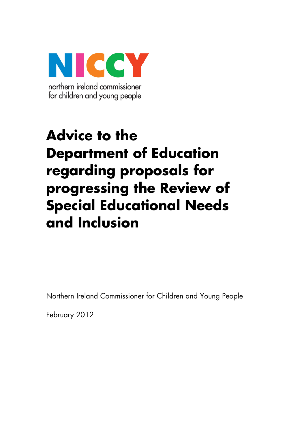

# **Advice to the Department of Education regarding proposals for progressing the Review of Special Educational Needs and Inclusion**

Northern Ireland Commissioner for Children and Young People

February 2012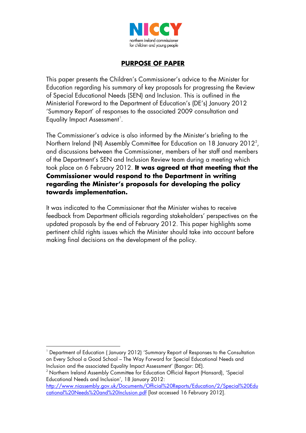

#### **PURPOSE OF PAPER**

This paper presents the Children's Commissioner's advice to the Minister for Education regarding his summary of key proposals for progressing the Review of Special Educational Needs (SEN) and Inclusion. This is outlined in the Ministerial Foreword to the Department of Education's (DE's) January 2012 'Summary Report' of responses to the associated 2009 consultation and Equality Impact Assessment<sup>[1](#page-1-0)</sup>.

The Commissioner's advice is also informed by the Minister's briefing to the Northern Ireland (NI) Assembly Committee for Education on 18 January [2](#page-1-1)012<sup>2</sup>, and discussions between the Commissioner, members of her staff and members of the Department's SEN and Inclusion Review team during a meeting which took place on 6 February 2012. **It was agreed at that meeting that the Commissioner would respond to the Department in writing regarding the Minister's proposals for developing the policy towards implementation.**

It was indicated to the Commissioner that the Minister wishes to receive feedback from Department officials regarding stakeholders' perspectives on the updated proposals by the end of February 2012. This paper highlights some pertinent child rights issues which the Minister should take into account before making final decisions on the development of the policy.

<u>.</u>

<span id="page-1-0"></span><sup>1</sup> Department of Education ( January 2012) 'Summary Report of Responses to the Consultation on Every School a Good School – The Way Forward for Special Educational Needs and Inclusion and the associated Equality Impact Assessment' (Bangor: DE).

<span id="page-1-1"></span><sup>&</sup>lt;sup>2</sup> Northern Ireland Assembly Committee for Education Official Report (Hansard), 'Special Educational Needs and Inclusion', 18 January 2012:

[http://www.niassembly.gov.uk/Documents/Official%20Reports/Education/2/Special%20Edu](http://www.niassembly.gov.uk/Documents/Official%20Reports/Education/2/Special%20Educational%20Needs%20and%20Inclusion.pdf) [cational%20Needs%20and%20Inclusion.pdf](http://www.niassembly.gov.uk/Documents/Official%20Reports/Education/2/Special%20Educational%20Needs%20and%20Inclusion.pdf) [last accessed 16 February 2012].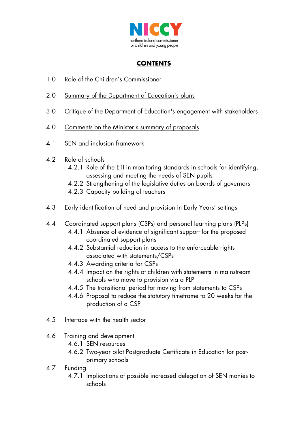

# **CONTENTS**

- 1.0 Role of the Children's Commissioner
- 2.0 Summary of the Department of Education's plans
- 3.0 Critique of the Department of Education's engagement with stakeholders
- 4.0 Comments on the Minister's summary of proposals
- 4.1 SEN and inclusion framework
- 4.2 Role of schools
	- 4.2.1 Role of the ETI in monitoring standards in schools for identifying, assessing and meeting the needs of SEN pupils
	- 4.2.2 Strengthening of the legislative duties on boards of governors
	- 4.2.3 Capacity building of teachers
- 4.3 Early identification of need and provision in Early Years' settings
- 4.4 Coordinated support plans (CSPs) and personal learning plans (PLPs)
	- 4.4.1 Absence of evidence of significant support for the proposed coordinated support plans
	- 4.4.2 Substantial reduction in access to the enforceable rights associated with statements/CSPs
	- 4.4.3 Awarding criteria for CSPs
	- 4.4.4 Impact on the rights of children with statements in mainstream schools who move to provision via a PLP
	- 4.4.5 The transitional period for moving from statements to CSPs
	- 4.4.6 Proposal to reduce the statutory timeframe to 20 weeks for the production of a CSP
- 4.5 Interface with the health sector
- 4.6 Training and development
	- 4.6.1 SEN resources
	- 4.6.2 Two-year pilot Postgraduate Certificate in Education for postprimary schools
- 4.7 Funding
	- 4.7.1 Implications of possible increased delegation of SEN monies to schools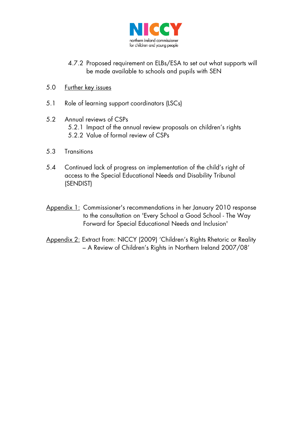

- 4.7.2 Proposed requirement on ELBs/ESA to set out what supports will be made available to schools and pupils with SEN
- 5.0 Further key issues
- 5.1 Role of learning support coordinators (LSCs)
- 5.2 Annual reviews of CSPs 5.2.1 Impact of the annual review proposals on children's rights 5.2.2 Value of formal review of CSPs
- 5.3 Transitions
- 5.4 Continued lack of progress on implementation of the child's right of access to the Special Educational Needs and Disability Tribunal (SENDIST)
- Appendix 1: Commissioner's recommendations in her January 2010 response to the consultation on 'Every School a Good School - The Way Forward for Special Educational Needs and Inclusion'
- Appendix 2: Extract from: NICCY (2009) 'Children's Rights Rhetoric or Reality – A Review of Children's Rights in Northern Ireland 2007/08'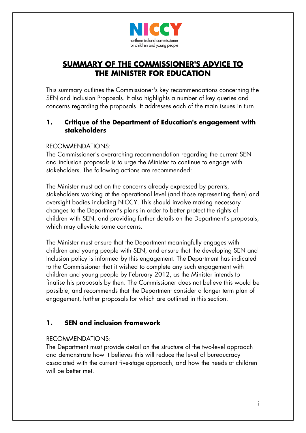

# **SUMMARY OF THE COMMISSIONER'S ADVICE TO THE MINISTER FOR EDUCATION**

This summary outlines the Commissioner's key recommendations concerning the SEN and Inclusion Proposals. It also highlights a number of key queries and concerns regarding the proposals. It addresses each of the main issues in turn.

#### **1. Critique of the Department of Education's engagement with stakeholders**

#### RECOMMENDATIONS:

The Commissioner's overarching recommendation regarding the current SEN and inclusion proposals is to urge the Minister to continue to engage with stakeholders. The following actions are recommended:

The Minister must act on the concerns already expressed by parents, stakeholders working at the operational level (and those representing them) and oversight bodies including NICCY. This should involve making necessary changes to the Department's plans in order to better protect the rights of children with SEN, and providing further details on the Department's proposals, which may alleviate some concerns.

The Minister must ensure that the Department meaningfully engages with children and young people with SEN, and ensure that the developing SEN and Inclusion policy is informed by this engagement. The Department has indicated to the Commissioner that it wished to complete any such engagement with children and young people by February 2012, as the Minister intends to finalise his proposals by then. The Commissioner does not believe this would be possible, and recommends that the Department consider a longer term plan of engagement, further proposals for which are outlined in this section.

# **1. SEN and inclusion framework**

#### RECOMMENDATIONS:

The Department must provide detail on the structure of the two-level approach and demonstrate how it believes this will reduce the level of bureaucracy associated with the current five-stage approach, and how the needs of children will be better met.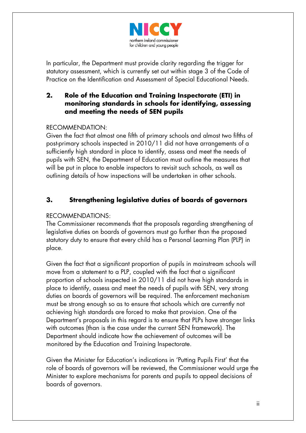

In particular, the Department must provide clarity regarding the trigger for statutory assessment, which is currently set out within stage 3 of the Code of Practice on the Identification and Assessment of Special Educational Needs.

#### **2. Role of the Education and Training Inspectorate (ETI) in monitoring standards in schools for identifying, assessing and meeting the needs of SEN pupils**

#### RECOMMENDATION:

Given the fact that almost one fifth of primary schools and almost two fifths of post-primary schools inspected in 2010/11 did not have arrangements of a sufficiently high standard in place to identify, assess and meet the needs of pupils with SEN, the Department of Education must outline the measures that will be put in place to enable inspectors to revisit such schools, as well as outlining details of how inspections will be undertaken in other schools.

#### **3. Strengthening legislative duties of boards of governors**

#### RECOMMENDATIONS:

The Commissioner recommends that the proposals regarding strengthening of legislative duties on boards of governors must go further than the proposed statutory duty to ensure that every child has a Personal Learning Plan (PLP) in place.

Given the fact that a significant proportion of pupils in mainstream schools will move from a statement to a PLP, coupled with the fact that a significant proportion of schools inspected in 2010/11 did not have high standards in place to identify, assess and meet the needs of pupils with SEN, very strong duties on boards of governors will be required. The enforcement mechanism must be strong enough so as to ensure that schools which are currently not achieving high standards are forced to make that provision. One of the Department's proposals in this regard is to ensure that PLPs have stronger links with outcomes (than is the case under the current SEN framework). The Department should indicate how the achievement of outcomes will be monitored by the Education and Training Inspectorate.

Given the Minister for Education's indications in 'Putting Pupils First' that the role of boards of governors will be reviewed, the Commissioner would urge the Minister to explore mechanisms for parents and pupils to appeal decisions of boards of governors.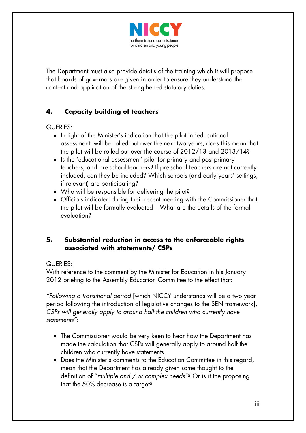

The Department must also provide details of the training which it will propose that boards of governors are given in order to ensure they understand the content and application of the strengthened statutory duties.

# **4. Capacity building of teachers**

QUERIES:

- In light of the Minister's indication that the pilot in 'educational assessment' will be rolled out over the next two years, does this mean that the pilot will be rolled out over the course of 2012/13 and 2013/14?
- Is the 'educational assessment' pilot for primary and post-primary teachers, and pre-school teachers? If pre-school teachers are not currently included, can they be included? Which schools (and early years' settings, if relevant) are participating?
- Who will be responsible for delivering the pilot?
- Officials indicated during their recent meeting with the Commissioner that the pilot will be formally evaluated – What are the details of the formal evaluation?

## **5. Substantial reduction in access to the enforceable rights associated with statements/ CSPs**

#### QUERIES:

With reference to the comment by the Minister for Education in his January 2012 briefing to the Assembly Education Committee to the effect that:

*"Following a transitional period* [which NICCY understands will be a two year period following the introduction of legislative changes to the SEN framework], *CSPs will generally apply to around half the children who currently have statements"*:

- The Commissioner would be very keen to hear how the Department has made the calculation that CSPs will generally apply to around half the children who currently have statements.
- Does the Minister's comments to the Education Committee in this regard, mean that the Department has already given some thought to the definition of "*multiple and / or complex needs"*? Or is it the proposing that the 50% decrease is a target?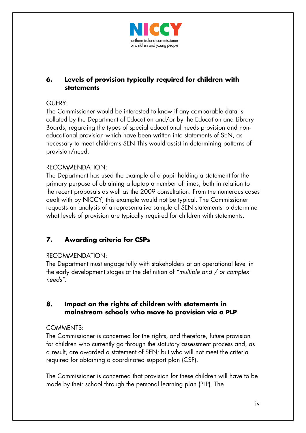

## **6. Levels of provision typically required for children with statements**

#### QUERY:

The Commissioner would be interested to know if any comparable data is collated by the Department of Education and/or by the Education and Library Boards, regarding the types of special educational needs provision and noneducational provision which have been written into statements of SEN, as necessary to meet children's SEN This would assist in determining patterns of provision/need.

#### RECOMMENDATION:

The Department has used the example of a pupil holding a statement for the primary purpose of obtaining a laptop a number of times, both in relation to the recent proposals as well as the 2009 consultation. From the numerous cases dealt with by NICCY, this example would not be typical. The Commissioner requests an analysis of a representative sample of SEN statements to determine what levels of provision are typically required for children with statements.

## **7. Awarding criteria for CSPs**

#### RECOMMENDATION:

The Department must engage fully with stakeholders at an operational level in the early development stages of the definition of *"multiple and / or complex needs"*.

#### **8. Impact on the rights of children with statements in mainstream schools who move to provision via a PLP**

#### COMMENTS:

The Commissioner is concerned for the rights, and therefore, future provision for children who currently go through the statutory assessment process and, as a result, are awarded a statement of SEN; but who will not meet the criteria required for obtaining a coordinated support plan (CSP).

The Commissioner is concerned that provision for these children will have to be made by their school through the personal learning plan (PLP). The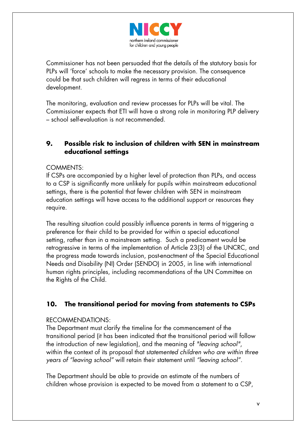

Commissioner has not been persuaded that the details of the statutory basis for PLPs will 'force' schools to make the necessary provision. The consequence could be that such children will regress in terms of their educational development.

The monitoring, evaluation and review processes for PLPs will be vital. The Commissioner expects that ETI will have a strong role in monitoring PLP delivery – school self-evaluation is not recommended.

### **9. Possible risk to inclusion of children with SEN in mainstream educational settings**

#### COMMENTS:

If CSPs are accompanied by a higher level of protection than PLPs, and access to a CSP is significantly more unlikely for pupils within mainstream educational settings, there is the potential that fewer children with SEN in mainstream education settings will have access to the additional support or resources they require.

The resulting situation could possibly influence parents in terms of triggering a preference for their child to be provided for within a special educational setting, rather than in a mainstream setting. Such a predicament would be retrogressive in terms of the implementation of Article 23(3) of the UNCRC, and the progress made towards inclusion, post-enactment of the Special Educational Needs and Disability (NI) Order (SENDO) in 2005, in line with international human rights principles, including recommendations of the UN Committee on the Rights of the Child.

## **10. The transitional period for moving from statements to CSPs**

#### RECOMMENDATIONS:

The Department must clarify the timeline for the commencement of the transitional period (it has been indicated that the transitional period will follow the introduction of new legislation), and the meaning of *"leaving school"*, within the context of its proposal that s*tatemented children who are within three years of "leaving school"* will retain their statement until *"leaving school".* 

The Department should be able to provide an estimate of the numbers of children whose provision is expected to be moved from a statement to a CSP,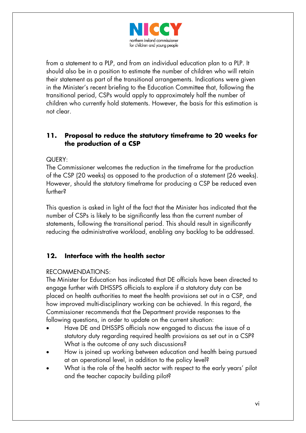

from a statement to a PLP, and from an individual education plan to a PLP. It should also be in a position to estimate the number of children who will retain their statement as part of the transitional arrangements. Indications were given in the Minister's recent briefing to the Education Committee that, following the transitional period, CSPs would apply to approximately half the number of children who currently hold statements. However, the basis for this estimation is not clear.

#### **11. Proposal to reduce the statutory timeframe to 20 weeks for the production of a CSP**

#### QUERY:

The Commissioner welcomes the reduction in the timeframe for the production of the CSP (20 weeks) as opposed to the production of a statement (26 weeks). However, should the statutory timeframe for producing a CSP be reduced even further?

This question is asked in light of the fact that the Minister has indicated that the number of CSPs is likely to be significantly less than the current number of statements, following the transitional period. This should result in significantly reducing the administrative workload, enabling any backlog to be addressed.

## **12. Interface with the health sector**

#### RECOMMENDATIONS:

The Minister for Education has indicated that DE officials have been directed to engage further with DHSSPS officials to explore if a statutory duty can be placed on health authorities to meet the health provisions set out in a CSP, and how improved multi-disciplinary working can be achieved. In this regard, the Commissioner recommends that the Department provide responses to the following questions, in order to update on the current situation:

- Have DE and DHSSPS officials now engaged to discuss the issue of a statutory duty regarding required health provisions as set out in a CSP? What is the outcome of any such discussions?
- How is joined up working between education and health being pursued at an operational level, in addition to the policy level?
- What is the role of the health sector with respect to the early years' pilot and the teacher capacity building pilot?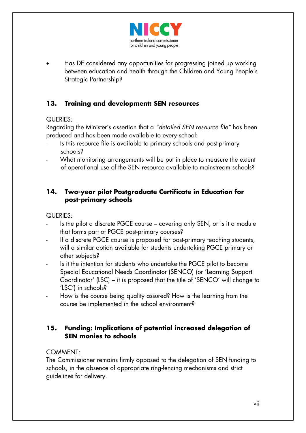

• Has DE considered any opportunities for progressing joined up working between education and health through the Children and Young People's Strategic Partnership?

# **13. Training and development: SEN resources**

#### QUERIES:

Regarding the Minister's assertion that a *"detailed SEN resource file"* has been produced and has been made available to every school:

- Is this resource file is available to primary schools and post-primary schools?
- What monitoring arrangements will be put in place to measure the extent of operational use of the SEN resource available to mainstream schools?

#### **14. Two-year pilot Postgraduate Certificate in Education for post-primary schools**

QUERIES:

- Is the pilot a discrete PGCE course covering only SEN, or is it a module that forms part of PGCE post-primary courses?
- If a discrete PGCE course is proposed for post-primary teaching students, will a similar option available for students undertaking PGCE primary or other subjects?
- Is it the intention for students who undertake the PGCE pilot to become Special Educational Needs Coordinator (SENCO) (or 'Learning Support Coordinator' (LSC) – it is proposed that the title of 'SENCO' will change to 'LSC') in schools?
- How is the course being quality assured? How is the learning from the course be implemented in the school environment?

## **15. Funding: Implications of potential increased delegation of SEN monies to schools**

#### COMMENT:

The Commissioner remains firmly opposed to the delegation of SEN funding to schools, in the absence of appropriate ring-fencing mechanisms and strict guidelines for delivery.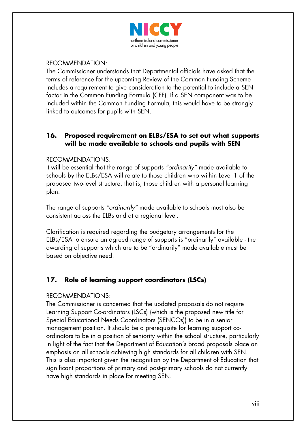

#### RECOMMENDATION:

The Commissioner understands that Departmental officials have asked that the terms of reference for the upcoming Review of the Common Funding Scheme includes a requirement to give consideration to the potential to include a SEN factor in the Common Funding Formula (CFF). If a SEN component was to be included within the Common Funding Formula, this would have to be strongly linked to outcomes for pupils with SEN.

#### **16. Proposed requirement on ELBs/ESA to set out what supports will be made available to schools and pupils with SEN**

#### RECOMMENDATIONS:

It will be essential that the range of supports *"ordinarily"* made available to schools by the ELBs/ESA will relate to those children who within Level 1 of the proposed two-level structure, that is, those children with a personal learning plan.

The range of supports *"ordinarily"* made available to schools must also be consistent across the ELBs and at a regional level.

Clarification is required regarding the budgetary arrangements for the ELBs/ESA to ensure an agreed range of supports is "ordinarily" available - the awarding of supports which are to be "ordinarily" made available must be based on objective need.

## **17. Role of learning support coordinators (LSCs)**

#### RECOMMENDATIONS:

The Commissioner is concerned that the updated proposals do not require Learning Support Co-ordinators (LSCs) (which is the proposed new title for Special Educational Needs Coordinators (SENCOs)) to be in a senior management position. It should be a prerequisite for learning support coordinators to be in a position of seniority within the school structure, particularly in light of the fact that the Department of Education's broad proposals place an emphasis on all schools achieving high standards for all children with SEN. This is also important given the recognition by the Department of Education that significant proportions of primary and post-primary schools do not currently have high standards in place for meeting SEN.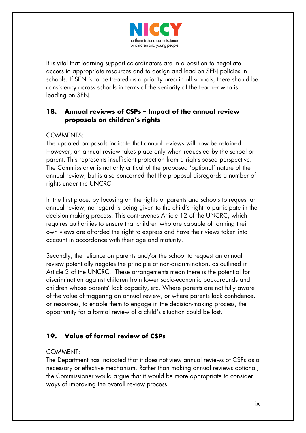

It is vital that learning support co-ordinators are in a position to negotiate access to appropriate resources and to design and lead on SEN policies in schools. If SEN is to be treated as a priority area in all schools, there should be consistency across schools in terms of the seniority of the teacher who is leading on SEN.

## **18. Annual reviews of CSPs – Impact of the annual review proposals on children's rights**

#### COMMENTS:

The updated proposals indicate that annual reviews will now be retained. However, an annual review takes place only when requested by the school or parent. This represents insufficient protection from a rights-based perspective. The Commissioner is not only critical of the proposed 'optional' nature of the annual review, but is also concerned that the proposal disregards a number of rights under the UNCRC.

In the first place, by focusing on the rights of parents and schools to request an annual review, no regard is being given to the child's right to participate in the decision-making process. This contravenes Article 12 of the UNCRC, which requires authorities to ensure that children who are capable of forming their own views are afforded the right to express and have their views taken into account in accordance with their age and maturity.

Secondly, the reliance on parents and/or the school to request an annual review potentially negates the principle of non-discrimination, as outlined in Article 2 of the UNCRC. These arrangements mean there is the potential for discrimination against children from lower socio-economic backgrounds and children whose parents' lack capacity, etc. Where parents are not fully aware of the value of triggering an annual review, or where parents lack confidence, or resources, to enable them to engage in the decision-making process, the opportunity for a formal review of a child's situation could be lost.

# **19. Value of formal review of CSPs**

#### COMMENT:

The Department has indicated that it does not view annual reviews of CSPs as a necessary or effective mechanism. Rather than making annual reviews optional, the Commissioner would argue that it would be more appropriate to consider ways of improving the overall review process.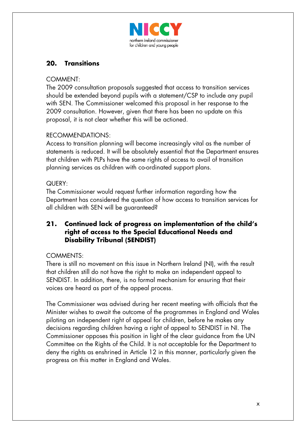

# **20. Transitions**

#### COMMENT:

The 2009 consultation proposals suggested that access to transition services should be extended beyond pupils with a statement/CSP to include any pupil with SEN. The Commissioner welcomed this proposal in her response to the 2009 consultation. However, given that there has been no update on this proposal, it is not clear whether this will be actioned.

#### RECOMMENDATIONS:

Access to transition planning will become increasingly vital as the number of statements is reduced. It will be absolutely essential that the Department ensures that children with PLPs have the same rights of access to avail of transition planning services as children with co-ordinated support plans.

#### QUERY:

The Commissioner would request further information regarding how the Department has considered the question of how access to transition services for all children with SEN will be guaranteed?

#### **21. Continued lack of progress on implementation of the child's right of access to the Special Educational Needs and Disability Tribunal (SENDIST)**

#### COMMENTS:

There is still no movement on this issue in Northern Ireland (NI), with the result that children still do not have the right to make an independent appeal to SENDIST. In addition, there, is no formal mechanism for ensuring that their voices are heard as part of the appeal process.

The Commissioner was advised during her recent meeting with officials that the Minister wishes to await the outcome of the programmes in England and Wales piloting an independent right of appeal for children, before he makes any decisions regarding children having a right of appeal to SENDIST in NI. The Commissioner opposes this position in light of the clear guidance from the UN Committee on the Rights of the Child. It is not acceptable for the Department to deny the rights as enshrined in Article 12 in this manner, particularly given the progress on this matter in England and Wales.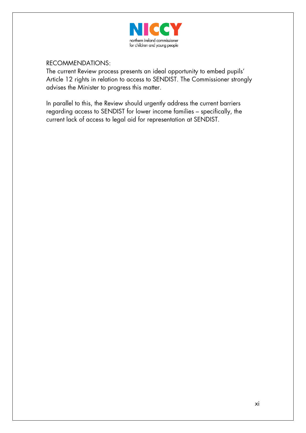

RECOMMENDATIONS:

The current Review process presents an ideal opportunity to embed pupils' Article 12 rights in relation to access to SENDIST. The Commissioner strongly advises the Minister to progress this matter.

In parallel to this, the Review should urgently address the current barriers regarding access to SENDIST for lower income families – specifically, the current lack of access to legal aid for representation at SENDIST.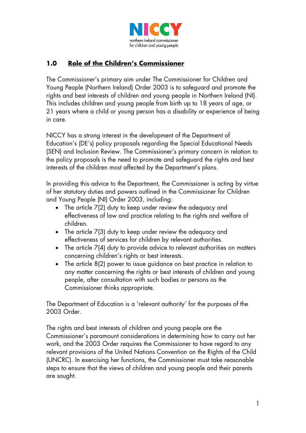

# **1.0 Role of the Children's Commissioner**

The Commissioner's primary aim under The Commissioner for Children and Young People (Northern Ireland) Order 2003 is to safeguard and promote the rights and best interests of children and young people in Northern Ireland (NI). This includes children and young people from birth up to 18 years of age, or 21 years where a child or young person has a disability or experience of being in care.

NICCY has a strong interest in the development of the Department of Education's (DE's) policy proposals regarding the Special Educational Needs (SEN) and Inclusion Review. The Commissioner's primary concern in relation to the policy proposals is the need to promote and safeguard the rights and best interests of the children most affected by the Department's plans.

In providing this advice to the Department, the Commissioner is acting by virtue of her statutory duties and powers outlined in the Commissioner for Children and Young People (NI) Order 2003, including:

- The article 7(2) duty to keep under review the adequacy and effectiveness of law and practice relating to the rights and welfare of children.
- The article 7(3) duty to keep under review the adequacy and effectiveness of services for children by relevant authorities.
- The article 7(4) duty to provide advice to relevant authorities on matters concerning children's rights or best interests.
- The article 8(2) power to issue guidance on best practice in relation to any matter concerning the rights or best interests of children and young people, after consultation with such bodies or persons as the Commissioner thinks appropriate.

The Department of Education is a 'relevant authority' for the purposes of the 2003 Order.

The rights and best interests of children and young people are the Commissioner's paramount considerations in determining how to carry out her work, and the 2003 Order requires the Commissioner to have regard to any relevant provisions of the United Nations Convention on the Rights of the Child (UNCRC). In exercising her functions, the Commissioner must take reasonable steps to ensure that the views of children and young people and their parents are sought.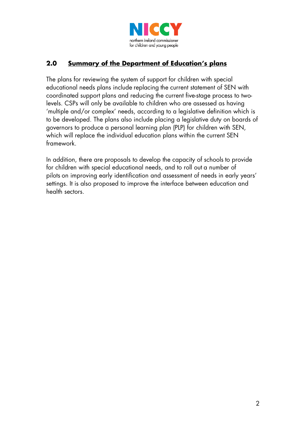

# **2.0 Summary of the Department of Education's plans**

The plans for reviewing the system of support for children with special educational needs plans include replacing the current statement of SEN with coordinated support plans and reducing the current five-stage process to twolevels. CSPs will only be available to children who are assessed as having 'multiple and/or complex' needs, according to a legislative definition which is to be developed. The plans also include placing a legislative duty on boards of governors to produce a personal learning plan (PLP) for children with SEN, which will replace the individual education plans within the current SEN framework.

In addition, there are proposals to develop the capacity of schools to provide for children with special educational needs, and to roll out a number of pilots on improving early identification and assessment of needs in early years' settings. It is also proposed to improve the interface between education and health sectors.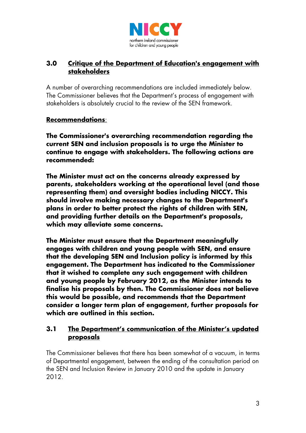

## **3.0 Critique of the Department of Education's engagement with stakeholders**

A number of overarching recommendations are included immediately below. The Commissioner believes that the Department's process of engagement with stakeholders is absolutely crucial to the review of the SEN framework.

#### **Recommendations**:

**The Commissioner's overarching recommendation regarding the current SEN and inclusion proposals is to urge the Minister to continue to engage with stakeholders. The following actions are recommended:**

**The Minister must act on the concerns already expressed by parents, stakeholders working at the operational level (and those representing them) and oversight bodies including NICCY. This should involve making necessary changes to the Department's plans in order to better protect the rights of children with SEN, and providing further details on the Department's proposals, which may alleviate some concerns.**

**The Minister must ensure that the Department meaningfully engages with children and young people with SEN, and ensure that the developing SEN and Inclusion policy is informed by this engagement. The Department has indicated to the Commissioner that it wished to complete any such engagement with children and young people by February 2012, as the Minister intends to finalise his proposals by then. The Commissioner does not believe this would be possible, and recommends that the Department consider a longer term plan of engagement, further proposals for which are outlined in this section.** 

#### **3.1 The Department's communication of the Minister's updated proposals**

The Commissioner believes that there has been somewhat of a vacuum, in terms of Departmental engagement, between the ending of the consultation period on the SEN and Inclusion Review in January 2010 and the update in January 2012.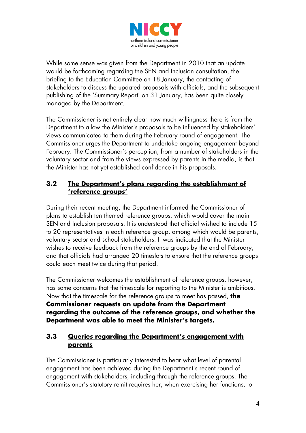

While some sense was given from the Department in 2010 that an update would be forthcoming regarding the SEN and Inclusion consultation, the briefing to the Education Committee on 18 January, the contacting of stakeholders to discuss the updated proposals with officials, and the subsequent publishing of the 'Summary Report' on 31 January, has been quite closely managed by the Department.

The Commissioner is not entirely clear how much willingness there is from the Department to allow the Minister's proposals to be influenced by stakeholders' views communicated to them during the February round of engagement. The Commissioner urges the Department to undertake ongoing engagement beyond February. The Commissioner's perception, from a number of stakeholders in the voluntary sector and from the views expressed by parents in the media, is that the Minister has not yet established confidence in his proposals.

## **3.2 The Department's plans regarding the establishment of 'reference groups'**

During their recent meeting, the Department informed the Commissioner of plans to establish ten themed reference groups, which would cover the main SEN and Inclusion proposals. It is understood that official wished to include 15 to 20 representatives in each reference group, among which would be parents, voluntary sector and school stakeholders. It was indicated that the Minister wishes to receive feedback from the reference groups by the end of February, and that officials had arranged 20 timeslots to ensure that the reference groups could each meet twice during that period.

The Commissioner welcomes the establishment of reference groups, however, has some concerns that the timescale for reporting to the Minister is ambitious. Now that the timescale for the reference groups to meet has passed, **the Commissioner requests an update from the Department regarding the outcome of the reference groups, and whether the Department was able to meet the Minister's targets.**

## **3.3 Queries regarding the Department's engagement with parents**

The Commissioner is particularly interested to hear what level of parental engagement has been achieved during the Department's recent round of engagement with stakeholders, including through the reference groups. The Commissioner's statutory remit requires her, when exercising her functions, to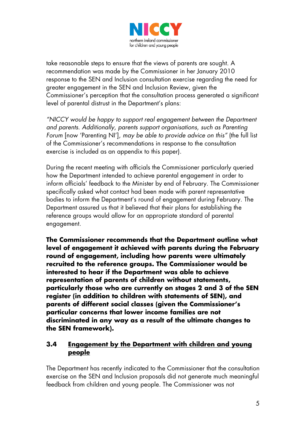

take reasonable steps to ensure that the views of parents are sought. A recommendation was made by the Commissioner in her January 2010 response to the SEN and Inclusion consultation exercise regarding the need for greater engagement in the SEN and Inclusion Review, given the Commissioner's perception that the consultation process generated a significant level of parental distrust in the Department's plans:

*"NICCY would be happy to support real engagement between the Department and parents. Additionally, parents support organisations, such as Parenting Forum* [now 'Parenting NI']*, may be able to provide advice on this"* (the full list of the Commissioner's recommendations in response to the consultation exercise is included as an appendix to this paper).

During the recent meeting with officials the Commissioner particularly queried how the Department intended to achieve parental engagement in order to inform officials' feedback to the Minister by end of February. The Commissioner specifically asked what contact had been made with parent representative bodies to inform the Department's round of engagement during February. The Department assured us that it believed that their plans for establishing the reference groups would allow for an appropriate standard of parental engagement.

**The Commissioner recommends that the Department outline what level of engagement it achieved with parents during the February round of engagement, including how parents were ultimately recruited to the reference groups. The Commissioner would be interested to hear if the Department was able to achieve representation of parents of children without statements, particularly those who are currently on stages 2 and 3 of the SEN register (in addition to children with statements of SEN), and parents of different social classes (given the Commissioner's particular concerns that lower income families are not discriminated in any way as a result of the ultimate changes to the SEN framework).**

#### **3.4 Engagement by the Department with children and young people**

The Department has recently indicated to the Commissioner that the consultation exercise on the SEN and Inclusion proposals did not generate much meaningful feedback from children and young people. The Commissioner was not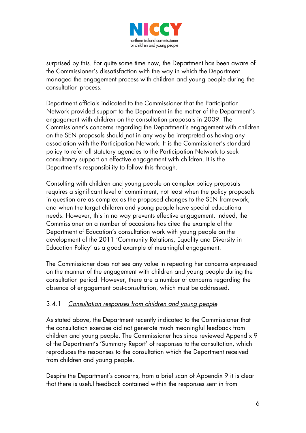

surprised by this. For quite some time now, the Department has been aware of the Commissioner's dissatisfaction with the way in which the Department managed the engagement process with children and young people during the consultation process.

Department officials indicated to the Commissioner that the Participation Network provided support to the Department in the matter of the Department's engagement with children on the consultation proposals in 2009. The Commissioner's concerns regarding the Department's engagement with children on the SEN proposals should not in any way be interpreted as having any association with the Participation Network. It is the Commissioner's standard policy to refer all statutory agencies to the Participation Network to seek consultancy support on effective engagement with children. It is the Department's responsibility to follow this through.

Consulting with children and young people on complex policy proposals requires a significant level of commitment, not least when the policy proposals in question are as complex as the proposed changes to the SEN framework, and when the target children and young people have special educational needs. However, this in no way prevents effective engagement. Indeed, the Commissioner on a number of occasions has cited the example of the Department of Education's consultation work with young people on the development of the 2011 'Community Relations, Equality and Diversity in Education Policy' as a good example of meaningful engagement.

The Commissioner does not see any value in repeating her concerns expressed on the manner of the engagement with children and young people during the consultation period. However, there are a number of concerns regarding the absence of engagement post-consultation, which must be addressed.

## 3.4.1 *Consultation responses from children and young people*

As stated above, the Department recently indicated to the Commissioner that the consultation exercise did not generate much meaningful feedback from children and young people. The Commissioner has since reviewed Appendix 9 of the Department's 'Summary Report' of responses to the consultation, which reproduces the responses to the consultation which the Department received from children and young people.

Despite the Department's concerns, from a brief scan of Appendix 9 it is clear that there is useful feedback contained within the responses sent in from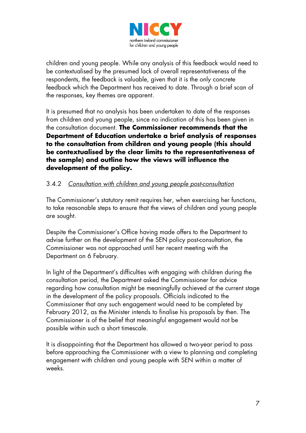

children and young people. While any analysis of this feedback would need to be contextualised by the presumed lack of overall representativeness of the respondents, the feedback is valuable, given that it is the only concrete feedback which the Department has received to date. Through a brief scan of the responses, key themes are apparent.

It is presumed that no analysis has been undertaken to date of the responses from children and young people, since no indication of this has been given in the consultation document. **The Commissioner recommends that the Department of Education undertake a brief analysis of responses to the consultation from children and young people (this should be contextualised by the clear limits to the representativeness of the sample) and outline how the views will influence the development of the policy.**

## 3.4.2 *Consultation with children and young people post-consultation*

The Commissioner's statutory remit requires her, when exercising her functions, to take reasonable steps to ensure that the views of children and young people are sought.

Despite the Commissioner's Office having made offers to the Department to advise further on the development of the SEN policy post-consultation, the Commissioner was not approached until her recent meeting with the Department on 6 February.

In light of the Department's difficulties with engaging with children during the consultation period, the Department asked the Commissioner for advice regarding how consultation might be meaningfully achieved at the current stage in the development of the policy proposals. Officials indicated to the Commissioner that any such engagement would need to be completed by February 2012, as the Minister intends to finalise his proposals by then. The Commissioner is of the belief that meaningful engagement would not be possible within such a short timescale.

It is disappointing that the Department has allowed a two-year period to pass before approaching the Commissioner with a view to planning and completing engagement with children and young people with SEN within a matter of weeks.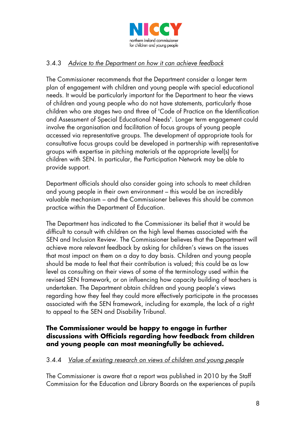

### 3.4.3 *Advice to the Department on how it can achieve feedback*

The Commissioner recommends that the Department consider a longer term plan of engagement with children and young people with special educational needs. It would be particularly important for the Department to hear the views of children and young people who do not have statements, particularly those children who are stages two and three of 'Code of Practice on the Identification and Assessment of Special Educational Needs'. Longer term engagement could involve the organisation and facilitation of focus groups of young people accessed via representative groups. The development of appropriate tools for consultative focus groups could be developed in partnership with representative groups with expertise in pitching materials at the appropriate level(s) for children with SEN. In particular, the Participation Network may be able to provide support.

Department officials should also consider going into schools to meet children and young people in their own environment – this would be an incredibly valuable mechanism – and the Commissioner believes this should be common practice within the Department of Education.

The Department has indicated to the Commissioner its belief that it would be difficult to consult with children on the high level themes associated with the SEN and Inclusion Review. The Commissioner believes that the Department will achieve more relevant feedback by asking for children's views on the issues that most impact on them on a day to day basis. Children and young people should be made to feel that their contribution is valued; this could be as low level as consulting on their views of some of the terminology used within the revised SEN framework, or on influencing how capacity building of teachers is undertaken. The Department obtain children and young people's views regarding how they feel they could more effectively participate in the processes associated with the SEN framework, including for example, the lack of a right to appeal to the SEN and Disability Tribunal.

#### **The Commissioner would be happy to engage in further discussions with Officials regarding how feedback from children and young people can most meaningfully be achieved.**

#### 3.4.4 *Value of existing research on views of children and young people*

The Commissioner is aware that a report was published in 2010 by the Staff Commission for the Education and Library Boards on the experiences of pupils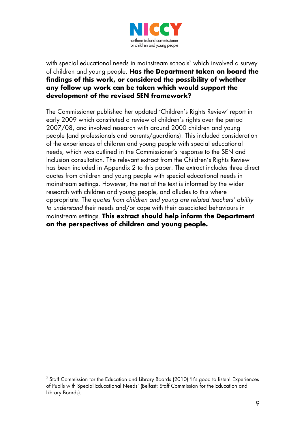

#### with special educational needs in mainstream schools<sup>[3](#page-23-0)</sup> which involved a survey of children and young people. **Has the Department taken on board the findings of this work, or considered the possibility of whether any follow up work can be taken which would support the development of the revised SEN framework?**

The Commissioner published her updated 'Children's Rights Review' report in early 2009 which constituted a review of children's rights over the period 2007/08, and involved research with around 2000 children and young people (and professionals and parents/guardians). This included consideration of the experiences of children and young people with special educational needs, which was outlined in the Commissioner's response to the SEN and Inclusion consultation. The relevant extract from the Children's Rights Review has been included in Appendix 2 to this paper. The extract includes three direct quotes from children and young people with special educational needs in mainstream settings. However, the rest of the text is informed by the wider research with children and young people, and alludes to this where appropriate. The qu*otes from children and young are related teachers' ability to understand* their needs and/or cope with their associated behaviours in mainstream settings. **This extract should help inform the Department on the perspectives of children and young people.**

<span id="page-23-0"></span><sup>-</sup> $^3$  Staff Commission for the Education and Library Boards (2010) 'It's good to listen! Experiences of Pupils with Special Educational Needs' (Belfast: Staff Commission for the Education and Library Boards).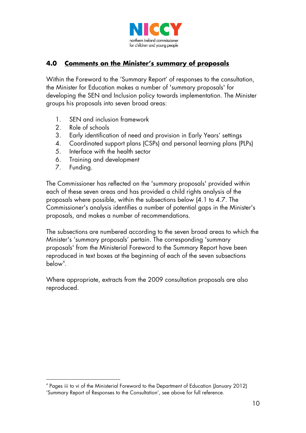

# **4.0 Comments on the Minister's summary of proposals**

Within the Foreword to the 'Summary Report' of responses to the consultation, the Minister for Education makes a number of 'summary proposals' for developing the SEN and Inclusion policy towards implementation. The Minister groups his proposals into seven broad areas:

- 1. SEN and inclusion framework
- 2. Role of schools
- 3. Early identification of need and provision in Early Years' settings
- 4. Coordinated support plans (CSPs) and personal learning plans (PLPs)
- 5. Interface with the health sector
- 6. Training and development
- 7. Funding.

<u>.</u>

The Commissioner has reflected on the 'summary proposals' provided within each of these seven areas and has provided a child rights analysis of the proposals where possible, within the subsections below (4.1 to 4.7. The Commissioner's analysis identifies a number of potential gaps in the Minister's proposals, and makes a number of recommendations.

The subsections are numbered according to the seven broad areas to which the Minister's 'summary proposals' pertain. The corresponding 'summary proposals' from the Ministerial Foreword to the Summary Report have been reproduced in text boxes at the beginning of each of the seven subsections  $below<sup>4</sup>.$  $below<sup>4</sup>.$  $below<sup>4</sup>.$ 

Where appropriate, extracts from the 2009 consultation proposals are also reproduced.

<span id="page-24-0"></span><sup>4</sup> Pages iii to vi of the Ministerial Foreword to the Department of Education (January 2012) 'Summary Report of Responses to the Consultation', see above for full reference.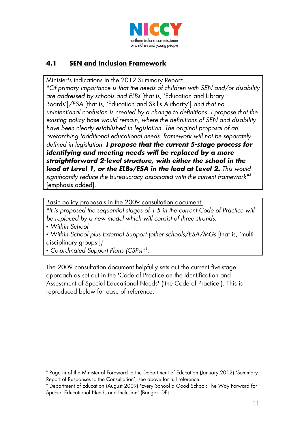

# **4.1 SEN and Inclusion Framework**

Minister's indications in the 2012 Summary Report:

*"Of primary importance is that the needs of children with SEN and/or disability are addressed by schools and ELBs* [that is, 'Education and Library Boards']*/ESA* [that is, 'Education and Skills Authority'] *and that no unintentional confusion is created by a change to definitions. I propose that the existing policy base would remain, where the definitions of SEN and disability have been clearly established in legislation. The original proposal of an overarching 'additional educational needs' framework will not be separately defined in legislation. I propose that the current 5-stage process for identifying and meeting needs will be replaced by a more straightforward 2-level structure, with either the school in the lead at Level 1, or the ELBs/ESA in the lead at Level 2. This would significantly reduce the bureaucracy associated with the current framework" [5](#page-25-0)* [emphasis added].

Basic policy proposals in the 2009 consultation document:

*"It is proposed the sequential stages of 1-5 in the current Code of Practice will be replaced by a new model which will consist of three strands:-*

*• Within School*

*• Within School plus External Support (other schools/ESA/MGs* [that is, 'multidisciplinary groups']*)*

*• Co-ordinated Support Plans (CSPs)"*[6](#page-25-1) *.*

The 2009 consultation document helpfully sets out the current five-stage approach as set out in the 'Code of Practice on the Identification and Assessment of Special Educational Needs' ('the Code of Practice'). This is reproduced below for ease of reference:

<span id="page-25-0"></span><sup>&</sup>lt;u>.</u>  $5$  Page iii of the Ministerial Foreword to the Department of Education (January 2012) 'Summary Report of Responses to the Consultation', see above for full reference.

<span id="page-25-1"></span><sup>6</sup> Department of Education (August 2009) 'Every School a Good School: The Way Forward for Special Educational Needs and Inclusion' (Bangor: DE).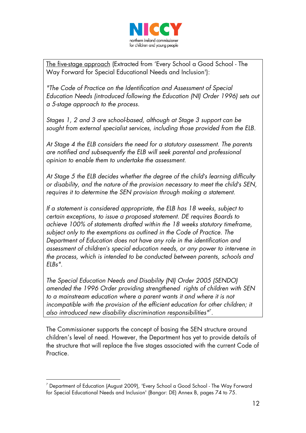

The five-stage approach (Extracted from 'Every School a Good School - The Way Forward for Special Educational Needs and Inclusion'):

*"The Code of Practice on the Identification and Assessment of Special Education Needs (introduced following the Education (NI) Order 1996) sets out a 5-stage approach to the process.* 

*Stages 1, 2 and 3 are school-based, although at Stage 3 support can be sought from external specialist services, including those provided from the ELB.* 

*At Stage 4 the ELB considers the need for a statutory assessment. The parents are notified and subsequently the ELB will seek parental and professional opinion to enable them to undertake the assessment.* 

*At Stage 5 the ELB decides whether the degree of the child's learning difficulty or disability, and the nature of the provision necessary to meet the child's SEN, requires it to determine the SEN provision through making a statement.* 

*If a statement is considered appropriate, the ELB has 18 weeks, subject to certain exceptions, to issue a proposed statement. DE requires Boards to achieve 100% of statements drafted within the 18 weeks statutory timeframe, subject only to the exemptions as outlined in the Code of Practice. The Department of Education does not have any role in the identification and assessment of children's special education needs, or any power to intervene in the process, which is intended to be conducted between parents, schools and ELBs".*

*The Special Education Needs and Disability (NI) Order 2005 (SENDO) amended the 1996 Order providing strengthened rights of children with SEN to a mainstream education where a parent wants it and where it is not*  incompatible with the provision of the efficient education for other children; it *also introduced new disability discrimination responsibilities"*[7](#page-26-0) *.*

The Commissioner supports the concept of basing the SEN structure around children's level of need. However, the Department has yet to provide details of the structure that will replace the five stages associated with the current Code of **Practice** 

<span id="page-26-0"></span><sup>&</sup>lt;u>.</u>  $^7$  Department of Education (August 2009), 'Every School a Good School - The Way Forward for Special Educational Needs and Inclusion' (Bangor: DE) Annex B, pages 74 to 75.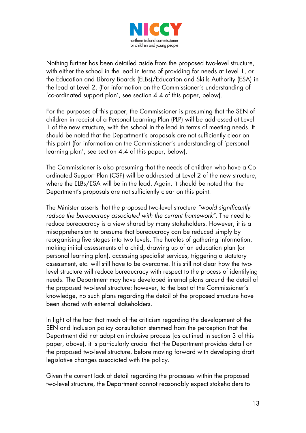

Nothing further has been detailed aside from the proposed two-level structure, with either the school in the lead in terms of providing for needs at Level 1, or the Education and Library Boards (ELBs)/Education and Skills Authority (ESA) in the lead at Level 2. (For information on the Commissioner's understanding of 'co-ordinated support plan', see section 4.4 of this paper, below).

For the purposes of this paper, the Commissioner is presuming that the SEN of children in receipt of a Personal Learning Plan (PLP) will be addressed at Level 1 of the new structure, with the school in the lead in terms of meeting needs. It should be noted that the Department's proposals are not sufficiently clear on this point (for information on the Commissioner's understanding of 'personal learning plan', see section 4.4 of this paper, below).

The Commissioner is also presuming that the needs of children who have a Coordinated Support Plan (CSP) will be addressed at Level 2 of the new structure, where the ELBs/ESA will be in the lead. Again, it should be noted that the Department's proposals are not sufficiently clear on this point.

The Minister asserts that the proposed two-level structure *"would significantly reduce the bureaucracy associated with the current framework"*. The need to reduce bureaucracy is a view shared by many stakeholders. However, it is a misapprehension to presume that bureaucracy can be reduced simply by reorganising five stages into two levels. The hurdles of gathering information, making initial assessments of a child, drawing up of an education plan (or personal learning plan), accessing specialist services, triggering a statutory assessment, etc. will still have to be overcome. It is still not clear how the twolevel structure will reduce bureaucracy with respect to the process of identifying needs. The Department may have developed internal plans around the detail of the proposed two-level structure; however, to the best of the Commissioner's knowledge, no such plans regarding the detail of the proposed structure have been shared with external stakeholders.

In light of the fact that much of the criticism regarding the development of the SEN and Inclusion policy consultation stemmed from the perception that the Department did not adopt an inclusive process [as outlined in section 3 of this paper, above), it is particularly crucial that the Department provides detail on the proposed two-level structure, before moving forward with developing draft legislative changes associated with the policy.

Given the current lack of detail regarding the processes within the proposed two-level structure, the Department cannot reasonably expect stakeholders to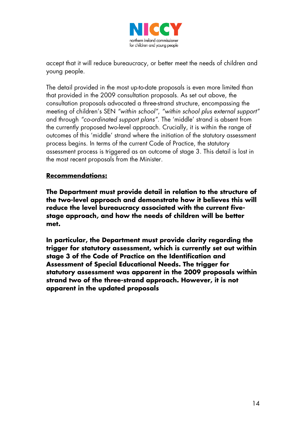

accept that it will reduce bureaucracy, or better meet the needs of children and young people.

The detail provided in the most up-to-date proposals is even more limited than that provided in the 2009 consultation proposals. As set out above, the consultation proposals advocated a three-strand structure, encompassing the meeting of children's SEN *"within school"*, *"within school plus external support"* and through *"co-ordinated support plans"*. The 'middle' strand is absent from the currently proposed two-level approach. Crucially, it is within the range of outcomes of this 'middle' strand where the initiation of the statutory assessment process begins. In terms of the current Code of Practice, the statutory assessment process is triggered as an outcome of stage 3. This detail is lost in the most recent proposals from the Minister.

#### **Recommendations:**

**The Department must provide detail in relation to the structure of the two-level approach and demonstrate how it believes this will reduce the level bureaucracy associated with the current fivestage approach, and how the needs of children will be better met.**

**In particular, the Department must provide clarity regarding the trigger for statutory assessment, which is currently set out within stage 3 of the Code of Practice on the Identification and Assessment of Special Educational Needs. The trigger for statutory assessment was apparent in the 2009 proposals within strand two of the three-strand approach. However, it is not apparent in the updated proposals**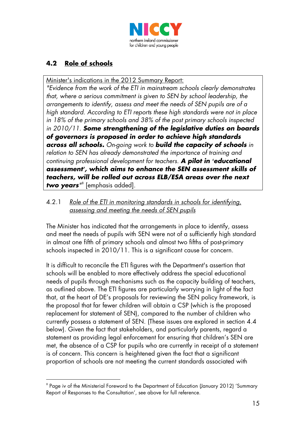

# **4.2 Role of schools**

Minister's indications in the 2012 Summary Report:

*"Evidence from the work of the ETI in mainstream schools clearly demonstrates that, where a serious commitment is given to SEN by school leadership, the arrangements to identify, assess and meet the needs of SEN pupils are of a high standard. According to ETI reports these high standards were not in place in 18% of the primary schools and 38% of the post primary schools inspected in 2010/11. Some strengthening of the legislative duties on boards of governors is proposed in order to achieve high standards across all schools. On-going work to build the capacity of schools in relation to SEN has already demonstrated the importance of training and continuing professional development for teachers. A pilot in 'educational assessment', which aims to enhance the SEN assessment skills of teachers, will be rolled out across ELB/ESA areas over the next two years"* [8](#page-29-0) [emphasis added].

#### 4.2.1 *Role of the ETI in monitoring standards in schools for identifying, assessing and meeting the needs of SEN pupils*

The Minister has indicated that the arrangements in place to identify, assess and meet the needs of pupils with SEN were not of a sufficiently high standard in almost one fifth of primary schools and almost two fifths of post-primary schools inspected in 2010/11. This is a significant cause for concern.

It is difficult to reconcile the ETI figures with the Department's assertion that schools will be enabled to more effectively address the special educational needs of pupils through mechanisms such as the capacity building of teachers, as outlined above. The ETI figures are particularly worrying in light of the fact that, at the heart of DE's proposals for reviewing the SEN policy framework, is the proposal that far fewer children will obtain a CSP (which is the proposed replacement for statement of SEN), compared to the number of children who currently possess a statement of SEN. (These issues are explored in section 4.4 below). Given the fact that stakeholders, and particularly parents, regard a statement as providing legal enforcement for ensuring that children's SEN are met, the absence of a CSP for pupils who are currently in receipt of a statement is of concern. This concern is heightened given the fact that a significant proportion of schools are not meeting the current standards associated with

<span id="page-29-0"></span><sup>&</sup>lt;u>.</u> 8 Page iv of the Ministerial Foreword to the Department of Education (January 2012) 'Summary Report of Responses to the Consultation', see above for full reference.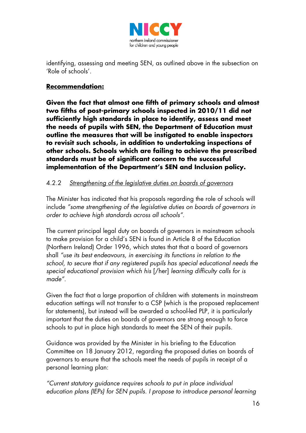

identifying, assessing and meeting SEN, as outlined above in the subsection on 'Role of schools'.

#### **Recommendation:**

**Given the fact that almost one fifth of primary schools and almost two fifths of post-primary schools inspected in 2010/11 did not sufficiently high standards in place to identify, assess and meet the needs of pupils with SEN, the Department of Education must outline the measures that will be instigated to enable inspectors to revisit such schools, in addition to undertaking inspections of other schools. Schools which are failing to achieve the prescribed standards must be of significant concern to the successful implementation of the Department's SEN and Inclusion policy.**

#### 4.2.2 *Strengthening of the legislative duties on boards of governors*

The Minister has indicated that his proposals regarding the role of schools will include *"some strengthening of the legislative duties on boards of governors in order to achieve high standards across all schools"*.

The current principal legal duty on boards of governors in mainstream schools to make provision for a child's SEN is found in Article 8 of the Education (Northern Ireland) Order 1996, which states that that a board of governors shall *"use its best endeavours, in exercising its functions in relation to the school, to secure that if any registered pupils has special educational needs the special educational provision which his* [/her] *learning difficulty calls for is made"*.

Given the fact that a large proportion of children with statements in mainstream education settings will not transfer to a CSP (which is the proposed replacement for statements), but instead will be awarded a school-led PLP, it is particularly important that the duties on boards of governors are strong enough to force schools to put in place high standards to meet the SEN of their pupils.

Guidance was provided by the Minister in his briefing to the Education Committee on 18 January 2012, regarding the proposed duties on boards of governors to ensure that the schools meet the needs of pupils in receipt of a personal learning plan:

*"Current statutory guidance requires schools to put in place individual education plans (IEPs) for SEN pupils. I propose to introduce personal learning*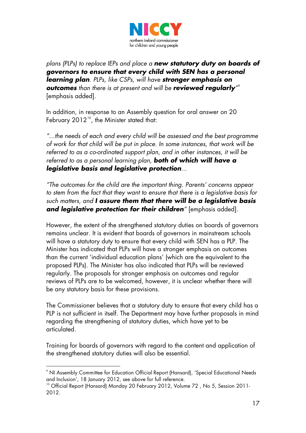

*plans (PLPs) to replace IEPs and place a new statutory duty on boards of governors to ensure that every child with SEN has a personal learning plan. PLPs, like CSPs, will have stronger emphasis on outcomes than there is at present and will be reviewed regularly"* [9](#page-31-0) [emphasis added].

In addition, in response to an Assembly question for oral answer on 20 February  $2012^{10}$  $2012^{10}$  $2012^{10}$ , the Minister stated that:

*"...the needs of each and every child will be assessed and the best programme of work for that child will be put in place. In some instances, that work will be referred to as a co-ordinated support plan, and in other instances, it will be referred to as a personal learning plan, both of which will have a legislative basis and legislative protection...*

*"The outcomes for the child are the important thing. Parents' concerns appear to stem from the fact that they want to ensure that there is a legislative basis for such matters, and I assure them that there will be a legislative basis*  and *legislative protection for their children*<sup>*"*</sup> [emphasis added].

However, the extent of the strengthened statutory duties on boards of governors remains unclear. It is evident that boards of governors in mainstream schools will have a statutory duty to ensure that every child with SEN has a PLP. The Minister has indicated that PLPs will have a stronger emphasis on outcomes than the current 'individual education plans' (which are the equivalent to the proposed PLPs). The Minister has also indicated that PLPs will be reviewed regularly. The proposals for stronger emphasis on outcomes and regular reviews of PLPs are to be welcomed, however, it is unclear whether there will be any statutory basis for these provisions.

The Commissioner believes that a statutory duty to ensure that every child has a PLP is not sufficient in itself. The Department may have further proposals in mind regarding the strengthening of statutory duties, which have yet to be articulated.

Training for boards of governors with regard to the content and application of the strengthened statutory duties will also be essential.

<span id="page-31-0"></span><sup>&</sup>lt;u>.</u>  $^{\circ}$  NI Assembly Committee for Education Official Report (Hansard), 'Special Educational Needs and Inclusion', 18 January 2012, see above for full reference.

<span id="page-31-1"></span><sup>&</sup>lt;sup>10</sup> Official Report (Hansard) Monday 20 February 2012, Volume 72, No 5, Session 2011-2012.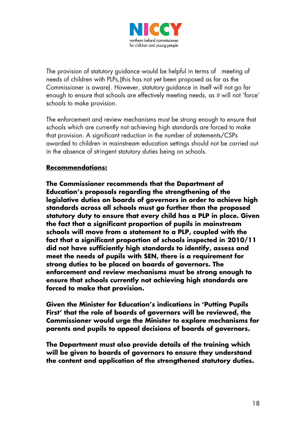

The provision of statutory guidance would be helpful in terms of meeting of needs of children with PLPs,(this has not yet been proposed as far as the Commissioner is aware). However, statutory guidance in itself will not go far enough to ensure that schools are effectively meeting needs, as it will not 'force' schools to make provision.

The enforcement and review mechanisms must be strong enough to ensure that schools which are currently not achieving high standards are forced to make that provision. A significant reduction in the number of statements/CSPs awarded to children in mainstream education settings should not be carried out in the absence of stringent statutory duties being on schools.

#### **Recommendations:**

**The Commissioner recommends that the Department of Education's proposals regarding the strengthening of the legislative duties on boards of governors in order to achieve high standards across all schools must go further than the proposed statutory duty to ensure that every child has a PLP in place. Given the fact that a significant proportion of pupils in mainstream schools will move from a statement to a PLP, coupled with the fact that a significant proportion of schools inspected in 2010/11 did not have sufficiently high standards to identify, assess and meet the needs of pupils with SEN, there is a requirement for strong duties to be placed on boards of governors. The enforcement and review mechanisms must be strong enough to ensure that schools currently not achieving high standards are forced to make that provision.**

**Given the Minister for Education's indications in 'Putting Pupils First' that the role of boards of governors will be reviewed, the Commissioner would urge the Minister to explore mechanisms for parents and pupils to appeal decisions of boards of governors.**

**The Department must also provide details of the training which will be given to boards of governors to ensure they understand the content and application of the strengthened statutory duties.**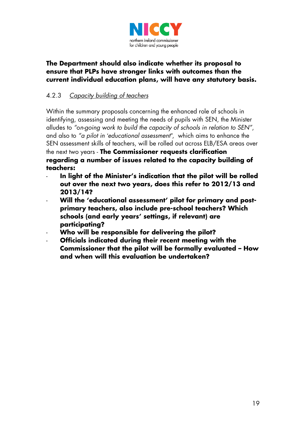

#### **The Department should also indicate whether its proposal to ensure that PLPs have stronger links with outcomes than the current individual education plans, will have any statutory basis.**

# 4.2.3 *Capacity building of teachers*

Within the summary proposals concerning the enhanced role of schools in identifying, assessing and meeting the needs of pupils with SEN, the Minister alludes to *"*o*n-going work to build the capacity of schools in relation to SEN"*, and also to *"a pilot in 'educational assessment"*, which aims to enhance the SEN assessment skills of teachers, will be rolled out across ELB/ESA areas over the next two years - **The Commissioner requests clarification regarding a number of issues related to the capacity building of teachers:**

- In light of the Minister's indication that the pilot will be rolled **out over the next two years, does this refer to 2012/13 and 2013/14?**
- **Will the 'educational assessment' pilot for primary and postprimary teachers, also include pre-school teachers? Which schools (and early years' settings, if relevant) are participating?**
- **Who will be responsible for delivering the pilot?**
- **Officials indicated during their recent meeting with the Commissioner that the pilot will be formally evaluated – How and when will this evaluation be undertaken?**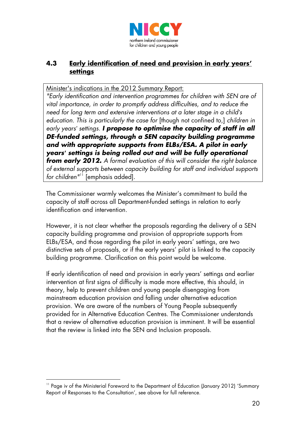

# **4.3 Early identification of need and provision in early years' settings**

Minister's indications in the 2012 Summary Report:

*"Early identification and intervention programmes for children with SEN are of vital importance, in order to promptly address difficulties, and to reduce the need for long term and extensive interventions at a later stage in a child's education. This is particularly the case for* [though not confined to,] *children in early years' settings. I propose to optimise the capacity of staff in all DE-funded settings, through a SEN capacity building programme and with appropriate supports from ELBs/ESA. A pilot in early years' settings is being rolled out and will be fully operational from early 2012. A formal evaluation of this will consider the right balance of external supports between capacity building for staff and individual supports for children"* [11](#page-34-0) [emphasis added].

The Commissioner warmly welcomes the Minister's commitment to build the capacity of staff across all Department-funded settings in relation to early identification and intervention.

However, it is not clear whether the proposals regarding the delivery of a SEN capacity building programme and provision of appropriate supports from ELBs/ESA, and those regarding the pilot in early years' settings, are two distinctive sets of proposals, or if the early years' pilot is linked to the capacity building programme. Clarification on this point would be welcome.

If early identification of need and provision in early years' settings and earlier intervention at first signs of difficulty is made more effective, this should, in theory, help to prevent children and young people disengaging from mainstream education provision and falling under alternative education provision. We are aware of the numbers of Young People subsequently provided for in Alternative Education Centres. The Commissioner understands that a review of alternative education provision is imminent. It will be essential that the review is linked into the SEN and Inclusion proposals.

<u>.</u>

<span id="page-34-0"></span><sup>&</sup>lt;sup>11</sup> Page iv of the Ministerial Foreword to the Department of Education (January 2012) 'Summary Report of Responses to the Consultation', see above for full reference.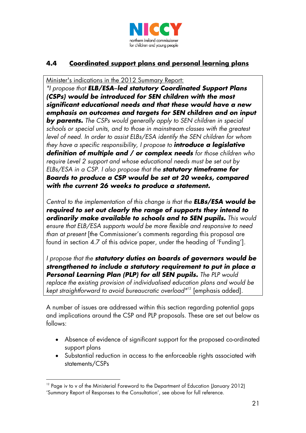

# **4.4 Coordinated support plans and personal learning plans**

Minister's indications in the 2012 Summary Report:

*"I propose that ELB/ESA–led statutory Coordinated Support Plans (CSPs) would be introduced for SEN children with the most significant educational needs and that these would have a new emphasis on outcomes and targets for SEN children and on input by parents. The CSPs would generally apply to SEN children in special schools or special units, and to those in mainstream classes with the greatest level of need. In order to assist ELBs/ESA identify the SEN children for whom they have a specific responsibility, I propose to introduce a legislative definition of multiple and / or complex needs for those children who require Level 2 support and whose educational needs must be set out by ELBs/ESA in a CSP. I also propose that the statutory timeframe for Boards to produce a CSP would be set at 20 weeks, compared with the current 26 weeks to produce a statement.*

*Central to the implementation of this change is that the ELBs/ESA would be required to set out clearly the range of supports they intend to ordinarily make available to schools and to SEN pupils. This would ensure that ELB/ESA supports would be more flexible and responsive to need than at present* [the Commissioner's comments regarding this proposal are found in section 4.7 of this advice paper, under the heading of 'Funding']*.*

*I propose that the statutory duties on boards of governors would be strengthened to include a statutory requirement to put in place a Personal Learning Plan (PLP) for all SEN pupils. The PLP would replace the existing provision of individualised education plans and would be kept straightforward to avoid bureaucratic overload"*[12](#page-35-0) [emphasis added].

A number of issues are addressed within this section regarding potential gaps and implications around the CSP and PLP proposals. These are set out below as follows:

- Absence of evidence of significant support for the proposed co-ordinated support plans
- Substantial reduction in access to the enforceable rights associated with statements/CSPs

<span id="page-35-0"></span><sup>&</sup>lt;u>.</u> <sup>12</sup> Page iv to v of the Ministerial Foreword to the Department of Education (January 2012) 'Summary Report of Responses to the Consultation', see above for full reference.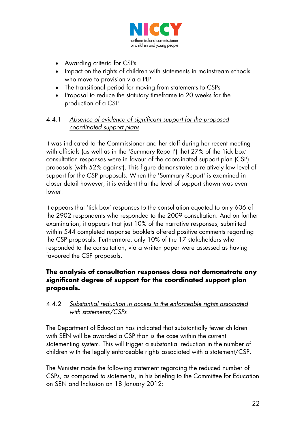

- Awarding criteria for CSPs
- Impact on the rights of children with statements in mainstream schools who move to provision via a PLP
- The transitional period for moving from statements to CSPs
- Proposal to reduce the statutory timeframe to 20 weeks for the production of a CSP

#### 4.4.1 *Absence of evidence of significant support for the proposed coordinated support plans*

It was indicated to the Commissioner and her staff during her recent meeting with officials (as well as in the 'Summary Report') that 27% of the 'tick box' consultation responses were in favour of the coordinated support plan (CSP) proposals (with 52% against). This figure demonstrates a relatively low level of support for the CSP proposals. When the 'Summary Report' is examined in closer detail however, it is evident that the level of support shown was even lower.

It appears that 'tick box' responses to the consultation equated to only 606 of the 2902 respondents who responded to the 2009 consultation. And on further examination, it appears that just 10% of the narrative responses, submitted within 544 completed response booklets offered positive comments regarding the CSP proposals. Furthermore, only 10% of the 17 stakeholders who responded to the consultation, via a written paper were assessed as having favoured the CSP proposals.

#### **The analysis of consultation responses does not demonstrate any significant degree of support for the coordinated support plan proposals.**

#### 4.4.2 *Substantial reduction in access to the enforceable rights associated with statements/CSPs*

The Department of Education has indicated that substantially fewer children with SEN will be awarded a CSP than is the case within the current statementing system. This will trigger a substantial reduction in the number of children with the legally enforceable rights associated with a statement/CSP.

The Minister made the following statement regarding the reduced number of CSPs, as compared to statements, in his briefing to the Committee for Education on SEN and Inclusion on 18 January 2012: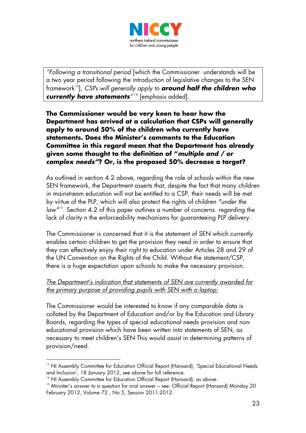

*"Following a transitional period* [which the Commissioner understands will be a two year period following the introduction of legislative changes to the SEN framework[13](#page-37-0)], *CSPs will generally apply to around half the children who currently have statements"* [14](#page-37-1) [emphasis added]*.*

**The Commissioner would be very keen to hear how the Department has arrived at a calculation that CSPs will generally apply to around 50% of the children who currently have statements. Does the Minister's comments to the Education Committee in this regard mean that the Department has already given some thought to the definition of "***multiple and / or complex needs"***? Or, is the proposed 50% decrease a target?**

As outlined in section 4.2 above, regarding the role of schools within the new SEN framework, the Department asserts that, despite the fact that many children in mainstream education will not be entitled to a CSP, their needs will be met by virtue of the PLP, which will also protect the rights of children *"under the law"*[15](#page-37-2). Section 4.2 of this paper outlines a number of concerns regarding the lack of clarity n the enforceability mechanisms for guaranteeing PLP delivery.

The Commissioner is concerned that it is the statement of SEN which currently enables certain children to get the provision they need in order to ensure that they can effectively enjoy their right to education under Articles 28 and 29 of the UN Convention on the Rights of the Child. Without the statement/CSP, there is a huge expectation upon schools to make the necessary provision.

#### *The Department's indication that statements of SEN are currently awarded for the primary purpose of providing pupils with SEN with a laptop:*

The Commissioner would be interested to know if any comparable data is collated by the Department of Education and/or by the Education and Library Boards, regarding the types of special educational needs provision and noneducational provision which have been written into statements of SEN, as necessary to meet children's SEN This would assist in determining patterns of provision/need.

-

<span id="page-37-0"></span><sup>&</sup>lt;sup>13</sup> NI Assembly Committee for Education Official Report (Hansard), 'Special Educational Needs and Inclusion', 18 January 2012, see above for full reference.

<span id="page-37-1"></span><sup>&</sup>lt;sup>14</sup> NI Assembly Committee for Education Official Report (Hansard), as above.

<span id="page-37-2"></span><sup>&</sup>lt;sup>15</sup> Minister's answer to a question for oral answer – see: Official Report (Hansard) Monday 20 February 2012, Volume 72 , No 5, Session 2011-2012.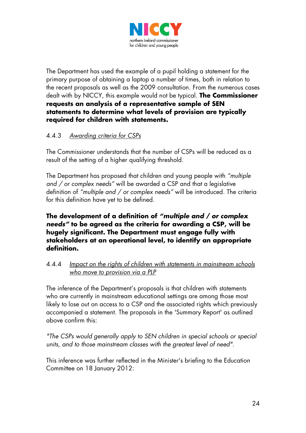

The Department has used the example of a pupil holding a statement for the primary purpose of obtaining a laptop a number of times, both in relation to the recent proposals as well as the 2009 consultation. From the numerous cases dealt with by NICCY, this example would not be typical. **The Commissioner requests an analysis of a representative sample of SEN statements to determine what levels of provision are typically required for children with statements.**

## 4.4.3 *Awarding criteria for CSPs*

The Commissioner understands that the number of CSPs will be reduced as a result of the setting of a higher qualifying threshold.

The Department has proposed that children and young people with *"multiple and / or complex needs"* will be awarded a CSP and that a legislative definition of *"multiple and / or complex needs"* will be introduced. The criteria for this definition have yet to be defined.

#### **The development of a definition of** *"multiple and / or complex needs"* **to be agreed as the criteria for awarding a CSP, will be hugely significant. The Department must engage fully with stakeholders at an operational level, to identify an appropriate definition.**

#### 4.4.4 *Impact on the rights of children with statements in mainstream schools who move to provision via a PLP*

The inference of the Department's proposals is that children with statements who are currently in mainstream educational settings are among those most likely to lose out on access to a CSP and the associated rights which previously accompanied a statement. The proposals in the 'Summary Report' as outlined above confirm this:

*"The CSPs would generally apply to SEN children in special schools or special units, and to those mainstream classes with the greatest level of need"*.

This inference was further reflected in the Minister's briefing to the Education Committee on 18 January 2012: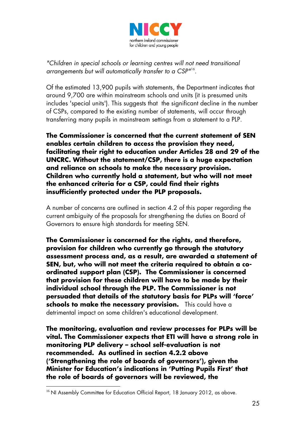

*"Children in special schools or learning centres will not need transitional arrangements but will automatically transfer to a CSP"*[16](#page-39-0).

Of the estimated 13,900 pupils with statements, the Department indicates that around 9,700 are within mainstream schools and units (it is presumed units includes 'special units'). This suggests that the significant decline in the number of CSPs, compared to the existing number of statements, will occur through transferring many pupils in mainstream settings from a statement to a PLP.

**The Commissioner is concerned that the current statement of SEN enables certain children to access the provision they need, facilitating their right to education under Articles 28 and 29 of the UNCRC. Without the statement/CSP, there is a huge expectation and reliance on schools to make the necessary provision. Children who currently hold a statement, but who will not meet the enhanced criteria for a CSP, could find their rights insufficiently protected under the PLP proposals.**

A number of concerns are outlined in section 4.2 of this paper regarding the current ambiguity of the proposals for strengthening the duties on Board of Governors to ensure high standards for meeting SEN.

**The Commissioner is concerned for the rights, and therefore, provision for children who currently go through the statutory assessment process and, as a result, are awarded a statement of SEN, but, who will not meet the criteria required to obtain a coordinated support plan (CSP). The Commissioner is concerned that provision for these children will have to be made by their individual school through the PLP. The Commissioner is not persuaded that details of the statutory basis for PLPs will 'force' schools to make the necessary provision.** This could have a detrimental impact on some children's educational development.

**The monitoring, evaluation and review processes for PLPs will be vital. The Commissioner expects that ETI will have a strong role in monitoring PLP delivery – school self-evaluation is not recommended. As outlined in section 4.2.2 above ('Strengthening the role of boards of governors'), given the Minister for Education's indications in 'Putting Pupils First' that the role of boards of governors will be reviewed, the** 

<span id="page-39-0"></span><sup>&</sup>lt;sup>16</sup> NI Assembly Committee for Education Official Report, 18 January 2012, as above.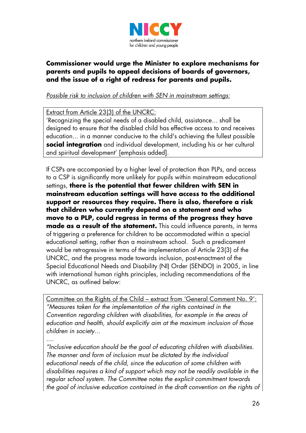

#### **Commissioner would urge the Minister to explore mechanisms for parents and pupils to appeal decisions of boards of governors, and the issue of a right of redress for parents and pupils.**

#### *Possible risk to inclusion of children with SEN in mainstream settings:*

#### Extract from Article 23(3) of the UNCRC:

'Recognizing the special needs of a disabled child, assistance... shall be designed to ensure that the disabled child has effective access to and receives education... in a manner conducive to the child's achieving the fullest possible **social integration** and individual development, including his or her cultural and spiritual development' [emphasis added].

If CSPs are accompanied by a higher level of protection than PLPs, and access to a CSP is significantly more unlikely for pupils within mainstream educational settings, **there is the potential that fewer children with SEN in mainstream education settings will have access to the additional support or resources they require. There is also, therefore a risk that children who currently depend on a statement and who move to a PLP, could regress in terms of the progress they have made as a result of the statement.** This could influence parents, in terms of triggering a preference for children to be accommodated within a special educational setting, rather than a mainstream school. Such a predicament would be retrogressive in terms of the implementation of Article 23(3) of the UNCRC, and the progress made towards inclusion, post-enactment of the Special Educational Needs and Disability (NI) Order (SENDO) in 2005, in line with international human rights principles, including recommendations of the UNCRC, as outlined below:

*"Measures taken for the implementation of the rights contained in the Convention regarding children with disabilities, for example in the areas of education and health, should explicitly aim at the maximum inclusion of those children in society*... Committee on the Rights of the Child – extract from 'General Comment No. 9':

*....*

*"Inclusive education should be the goal of educating children with disabilities. The manner and form of inclusion must be dictated by the individual educational needs of the child, since the education of some children with disabilities requires a kind of support which may not be readily available in the regular school system. The Committee notes the explicit commitment towards the goal of inclusive education contained in the draft convention on the rights of*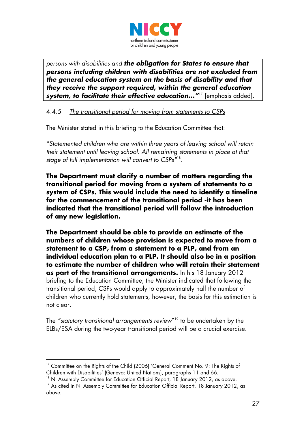

*persons with disabilities and the obligation for States to ensure that persons including children with disabilities are not excluded from the general education system on the basis of disability and that they receive the support required, within the general education system, to facilitate their effective education...*"<sup>[17](#page-41-0)</sup> [emphasis added].

#### 4.4.5 *The transitional period for moving from statements to CSPs*

The Minister stated in this briefing to the Education Committee that:

*"Statemented children who are within three years of leaving school will retain their statement until leaving school. All remaining statements in place at that stage of full implementation will convert to CSPs"*[18](#page-41-1) .

**The Department must clarify a number of matters regarding the transitional period for moving from a system of statements to a system of CSPs. This would include the need to identify a timeline for the commencement of the transitional period -it has been indicated that the transitional period will follow the introduction of any new legislation.**

**The Department should be able to provide an estimate of the numbers of children whose provision is expected to move from a statement to a CSP, from a statement to a PLP, and from an individual education plan to a PLP. It should also be in a position to estimate the number of children who will retain their statement as part of the transitional arrangements.** In his 18 January 2012 briefing to the Education Committee, the Minister indicated that following the transitional period, CSPs would apply to approximately half the number of children who currently hold statements, however, the basis for this estimation is not clear.

The *"statutory transitional arrangements review*"[19](#page-41-2) to be undertaken by the ELBs/ESA during the two-year transitional period will be a crucial exercise.

-

<span id="page-41-0"></span><sup>&</sup>lt;sup>17</sup> Committee on the Rights of the Child (2006) 'General Comment No. 9: The Rights of Children with Disabilities' (Geneva: United Nations), paragraphs 11 and 66.

<span id="page-41-2"></span><span id="page-41-1"></span><sup>&</sup>lt;sup>18</sup> NI Assembly Committee for Education Official Report, 18 January 2012, as above. <sup>19</sup> As cited in NI Assembly Committee for Education Official Report, 18 January 2012, as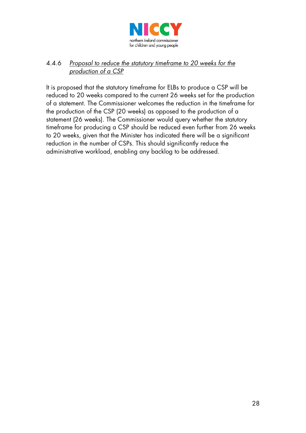

#### 4.4.6 *Proposal to reduce the statutory timeframe to 20 weeks for the production of a CSP*

It is proposed that the statutory timeframe for ELBs to produce a CSP will be reduced to 20 weeks compared to the current 26 weeks set for the production of a statement. The Commissioner welcomes the reduction in the timeframe for the production of the CSP (20 weeks) as opposed to the production of a statement (26 weeks). The Commissioner would query whether the statutory timeframe for producing a CSP should be reduced even further from 26 weeks to 20 weeks, given that the Minister has indicated there will be a significant reduction in the number of CSPs. This should significantly reduce the administrative workload, enabling any backlog to be addressed.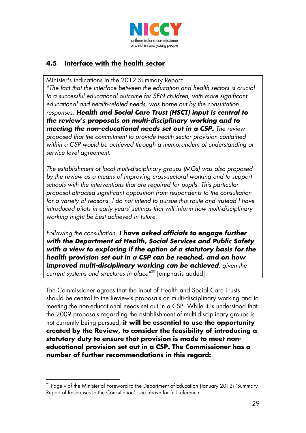

## **4.5 Interface with the health sector**

Minister's indications in the 2012 Summary Report:

*"The fact that the interface between the education and health sectors is crucial to a successful educational outcome for SEN children, with more significant educational and health-related needs, was borne out by the consultation responses. Health and Social Care Trust (HSCT) input is central to the review's proposals on multi-disciplinary working and to meeting the non-educational needs set out in a CSP. The review proposed that the commitment to provide health sector provision contained within a CSP would be achieved through a memorandum of understanding or service level agreement.*

*The establishment of local multi-disciplinary groups (MGs) was also proposed by the review as a means of improving cross-sectoral working and to support schools with the interventions that are required for pupils. This particular proposal attracted significant opposition from respondents to the consultation for a variety of reasons. I do not intend to pursue this route and instead I have introduced pilots in early years' settings that will inform how multi-disciplinary working might be best achieved in future.*

*Following the consultation, I have asked officials to engage further with the Department of Health, Social Services and Public Safety with a view to exploring if the option of a statutory basis for the health provision set out in a CSP can be reached, and on how improved multi-disciplinary working can be achieved, given the current systems and structures in place"*[20](#page-43-0) [emphasis added].

The Commissioner agrees that the input of Health and Social Care Trusts should be central to the Review's proposals on multi-disciplinary working and to meeting the non-educational needs set out in a CSP. While it is understood that the 2009 proposals regarding the establishment of multi-disciplinary groups is not currently being pursued, **it will be essential to use the opportunity created by the Review, to consider the feasibility of introducing a statutory duty to ensure that provision is made to meet noneducational provision set out in a CSP. The Commissioner has a number of further recommendations in this regard:**

<u>.</u>

<span id="page-43-0"></span> $20$  Page v of the Ministerial Foreword to the Department of Education (January 2012) 'Summary Report of Responses to the Consultation', see above for full reference.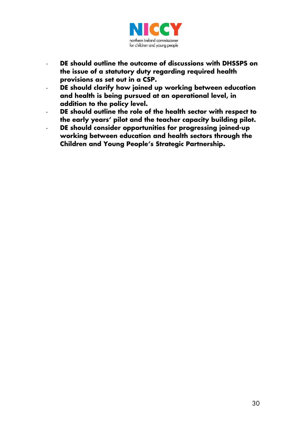

- **DE should outline the outcome of discussions with DHSSPS on the issue of a statutory duty regarding required health provisions as set out in a CSP.**
- **DE should clarify how joined up working between education and health is being pursued at an operational level, in addition to the policy level.**
- **DE should outline the role of the health sector with respect to the early years' pilot and the teacher capacity building pilot.**
- **DE should consider opportunities for progressing joined-up working between education and health sectors through the Children and Young People's Strategic Partnership.**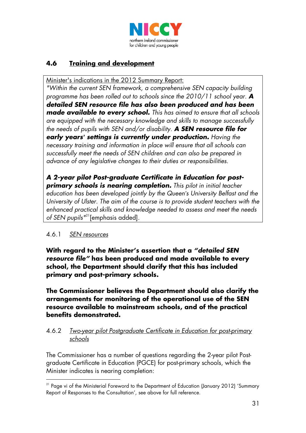

# **4.6 Training and development**

Minister's indications in the 2012 Summary Report:

*"Within the current SEN framework, a comprehensive SEN capacity building programme has been rolled out to schools since the 2010/11 school year. A detailed SEN resource file has also been produced and has been made available to every school. This has aimed to ensure that all schools are equipped with the necessary knowledge and skills to manage successfully the needs of pupils with SEN and/or disability. A SEN resource file for early years' settings is currently under production. Having the necessary training and information in place will ensure that all schools can successfully meet the needs of SEN children and can also be prepared in advance of any legislative changes to their duties or responsibilities.*

*A 2-year pilot Post-graduate Certificate in Education for postprimary schools is nearing completion. This pilot in initial teacher education has been developed jointly by the Queen's University Belfast and the University of Ulster. The aim of the course is to provide student teachers with the enhanced practical skills and knowledge needed to assess and meet the needs of SEN pupils"*[21\[](#page-45-0)emphasis added].

#### 4.6.1 *SEN resources*

**With regard to the Minister's assertion that a** *"detailed SEN resource file"* **has been produced and made available to every school, the Department should clarify that this has included primary and post-primary schools.**

**The Commissioner believes the Department should also clarify the arrangements for monitoring of the operational use of the SEN resource available to mainstream schools, and of the practical benefits demonstrated.**

#### 4.6.2 *Two-year pilot Postgraduate Certificate in Education for post-primary schools*

The Commissioner has a number of questions regarding the 2-year pilot Postgraduate Certificate in Education (PGCE) for post-primary schools, which the Minister indicates is nearing completion:

<span id="page-45-0"></span><sup>&</sup>lt;u>.</u> <sup>21</sup> Page vi of the Ministerial Foreword to the Department of Education (January 2012) 'Summary Report of Responses to the Consultation', see above for full reference.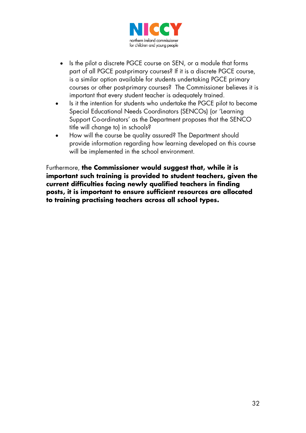

- Is the pilot a discrete PGCE course on SEN, or a module that forms part of all PGCE post-primary courses? If it is a discrete PGCE course, is a similar option available for students undertaking PGCE primary courses or other post-primary courses? The Commissioner believes it is important that every student teacher is adequately trained.
- Is it the intention for students who undertake the PGCE pilot to become Special Educational Needs Coordinators (SENCOs) (or 'Learning Support Co-ordinators' as the Department proposes that the SENCO title will change to) in schools?
- How will the course be quality assured? The Department should provide information regarding how learning developed on this course will be implemented in the school environment.

Furthermore, **the Commissioner would suggest that, while it is important such training is provided to student teachers, given the current difficulties facing newly qualified teachers in finding posts, it is important to ensure sufficient resources are allocated to training practising teachers across all school types.**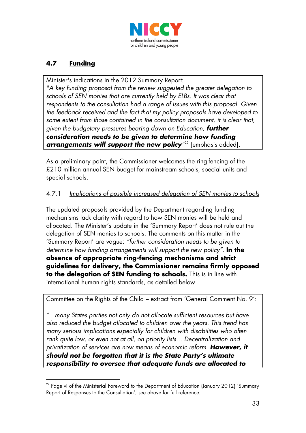

# **4.7 Funding**

Minister's indications in the 2012 Summary Report:

*"A key funding proposal from the review suggested the greater delegation to schools of SEN monies that are currently held by ELBs. It was clear that respondents to the consultation had a range of issues with this proposal. Given the feedback received and the fact that my policy proposals have developed to some extent from those contained in the consultation document, it is clear that, given the budgetary pressures bearing down on Education, further consideration needs to be given to determine how funding arrangements will support the new policy"* [22](#page-47-0) [emphasis added].

As a preliminary point, the Commissioner welcomes the ring-fencing of the £210 million annual SEN budget for mainstream schools, special units and special schools.

## 4.7.1 *Implications of possible increased delegation of SEN monies to schools*

The updated proposals provided by the Department regarding funding mechanisms lack clarity with regard to how SEN monies will be held and allocated. The Minister's update in the 'Summary Report' does not rule out the delegation of SEN monies to schools. The comments on this matter in the 'Summary Report' are vague: *"further consideration needs to be given to determine how funding arrangements will support the new policy".* **In the absence of appropriate ring-fencing mechanisms and strict guidelines for delivery, the Commissioner remains firmly opposed to the delegation of SEN funding to schools.** This is in line with international human rights standards, as detailed below.

# Committee on the Rights of the Child – extract from 'General Comment No. 9':

*"...many States parties not only do not allocate sufficient resources but have also reduced the budget allocated to children over the years. This trend has many serious implications especially for children with disabilities who often rank quite low, or even not at all, on priority lists… Decentralization and privatization of services are now means of economic reform. However, it should not be forgotten that it is the State Party's ultimate responsibility to oversee that adequate funds are allocated to* 

<span id="page-47-0"></span><sup>&</sup>lt;u>.</u>  $22$  Page vi of the Ministerial Foreword to the Department of Education (January 2012) 'Summary Report of Responses to the Consultation', see above for full reference.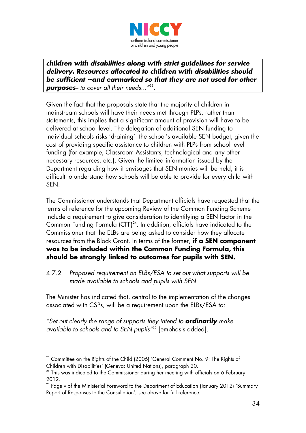

*children with disabilities along with strict guidelines for service delivery. Resources allocated to children with disabilities should be sufficient --and earmarked so that they are not used for other purposes-- to cover all their needs..."*[23](#page-48-0) .

Given the fact that the proposals state that the majority of children in mainstream schools will have their needs met through PLPs, rather than statements, this implies that a significant amount of provision will have to be delivered at school level. The delegation of additional SEN funding to individual schools risks 'draining' the school's available SEN budget, given the cost of providing specific assistance to children with PLPs from school level funding (for example, Classroom Assistants, technological and any other necessary resources, etc.). Given the limited information issued by the Department regarding how it envisages that SEN monies will be held, it is difficult to understand how schools will be able to provide for every child with SEN.

The Commissioner understands that Department officials have requested that the terms of reference for the upcoming Review of the Common Funding Scheme include a requirement to give consideration to identifying a SEN factor in the Common Funding Formula (CFF) $^{24}$ . In addition, officials have indicated to the Commissioner that the ELBs are being asked to consider how they allocate resources from the Block Grant. In terms of the former, **if a SEN component was to be included within the Common Funding Formula, this should be strongly linked to outcomes for pupils with SEN.**

#### 4.7.2 *Proposed requirement on ELBs/ESA to set out what supports will be made available to schools and pupils with SEN*

The Minister has indicated that, central to the implementation of the changes associated with CSPs, will be a requirement upon the ELBs/ESA to:

*"Set out clearly the range of supports they intend to ordinarily make available to schools and to SEN pupils"*[25](#page-48-2) [emphasis added]*.*

<span id="page-48-0"></span><sup>-</sup> $^{23}$  Committee on the Rights of the Child (2006) 'General Comment No. 9: The Rights of Children with Disabilities' (Geneva: United Nations), paragraph 20.

<span id="page-48-1"></span><sup>&</sup>lt;sup>24</sup> This was indicated to the Commissioner during her meeting with officials on 6 February 2012.

<span id="page-48-2"></span> $25$  Page v of the Ministerial Foreword to the Department of Education (January 2012) 'Summary Report of Responses to the Consultation', see above for full reference.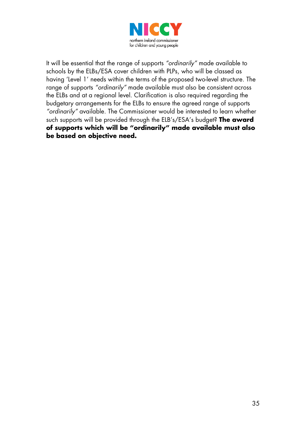

It will be essential that the range of supports *"ordinarily"* made available to schools by the ELBs/ESA cover children with PLPs, who will be classed as having 'Level 1' needs within the terms of the proposed two-level structure. The range of supports *"ordinarily"* made available must also be consistent across the ELBs and at a regional level. Clarification is also required regarding the budgetary arrangements for the ELBs to ensure the agreed range of supports *"ordinarily"* available. The Commissioner would be interested to learn whether such supports will be provided through the ELB's/ESA's budget? **The award of supports which will be "ordinarily" made available must also be based on objective need.**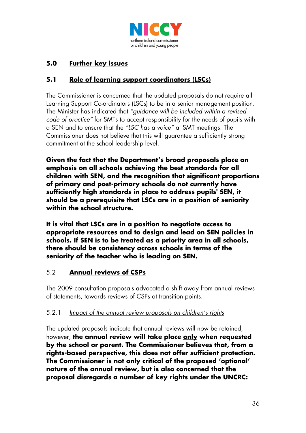

# **5.0 Further key issues**

## **5.1 Role of learning support coordinators (LSCs)**

The Commissioner is concerned that the updated proposals do not require all Learning Support Co-ordinators (LSCs) to be in a senior management position. The Minister has indicated that *"guidance will be included within a revised code of practice"* for SMTs to accept responsibility for the needs of pupils with a SEN and to ensure that the *"LSC has a voice"* at SMT meetings. The Commissioner does not believe that this will guarantee a sufficiently strong commitment at the school leadership level.

**Given the fact that the Department's broad proposals place an emphasis on all schools achieving the best standards for all children with SEN, and the recognition that significant proportions of primary and post-primary schools do not currently have sufficiently high standards in place to address pupils' SEN, it should be a prerequisite that LSCs are in a position of seniority within the school structure.**

**It is vital that LSCs are in a position to negotiate access to appropriate resources and to design and lead on SEN policies in schools. If SEN is to be treated as a priority area in all schools, there should be consistency across schools in terms of the seniority of the teacher who is leading on SEN.**

#### 5.2 **Annual reviews of CSPs**

The 2009 consultation proposals advocated a shift away from annual reviews of statements, towards reviews of CSPs at transition points.

#### 5.2.1 *Impact of the annual review proposals on children's rights*

The updated proposals indicate that annual reviews will now be retained, however, **the annual review will take place only when requested by the school or parent. The Commissioner believes that, from a rights-based perspective, this does not offer sufficient protection. The Commissioner is not only critical of the proposed 'optional' nature of the annual review, but is also concerned that the proposal disregards a number of key rights under the UNCRC:**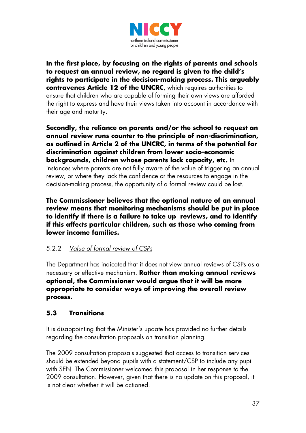

**In the first place, by focusing on the rights of parents and schools to request an annual review, no regard is given to the child's rights to participate in the decision-making process. This arguably contravenes Article 12 of the UNCRC**, which requires authorities to ensure that children who are capable of forming their own views are afforded the right to express and have their views taken into account in accordance with their age and maturity.

**Secondly, the reliance on parents and/or the school to request an annual review runs counter to the principle of non-discrimination, as outlined in Article 2 of the UNCRC, in terms of the potential for discrimination against children from lower socio-economic backgrounds, children whose parents lack capacity, etc.** In instances where parents are not fully aware of the value of triggering an annual review, or where they lack the confidence or the resources to engage in the decision-making process, the opportunity of a formal review could be lost.

**The Commissioner believes that the optional nature of an annual review means that monitoring mechanisms should be put in place to identify if there is a failure to take up reviews, and to identify if this affects particular children, such as those who coming from lower income families.**

## 5.2.2 *Value of formal review of CSPs*

The Department has indicated that it does not view annual reviews of CSPs as a necessary or effective mechanism. **Rather than making annual reviews optional, the Commissioner would argue that it will be more appropriate to consider ways of improving the overall review process.**

## **5.3 Transitions**

It is disappointing that the Minister's update has provided no further details regarding the consultation proposals on transition planning.

The 2009 consultation proposals suggested that access to transition services should be extended beyond pupils with a statement/CSP to include any pupil with SEN. The Commissioner welcomed this proposal in her response to the 2009 consultation. However, given that there is no update on this proposal, it is not clear whether it will be actioned.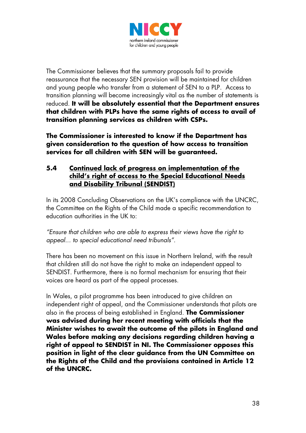

The Commissioner believes that the summary proposals fail to provide reassurance that the necessary SEN provision will be maintained for children and young people who transfer from a statement of SEN to a PLP. Access to transition planning will become increasingly vital as the number of statements is reduced. **It will be absolutely essential that the Department ensures that children with PLPs have the same rights of access to avail of transition planning services as children with CSPs.**

**The Commissioner is interested to know if the Department has given consideration to the question of how access to transition services for all children with SEN will be guaranteed.**

#### **5.4 Continued lack of progress on implementation of the child's right of access to the Special Educational Needs and Disability Tribunal (SENDIST)**

In its 2008 Concluding Observations on the UK's compliance with the UNCRC, the Committee on the Rights of the Child made a specific recommendation to education authorities in the UK to:

*"Ensure that children who are able to express their views have the right to appeal... to special educational need tribunals"*.

There has been no movement on this issue in Northern Ireland, with the result that children still do not have the right to make an independent appeal to SENDIST. Furthermore, there is no formal mechanism for ensuring that their voices are heard as part of the appeal processes.

In Wales, a pilot programme has been introduced to give children an independent right of appeal, and the Commissioner understands that pilots are also in the process of being established in England. **The Commissioner was advised during her recent meeting with officials that the Minister wishes to await the outcome of the pilots in England and Wales before making any decisions regarding children having a right of appeal to SENDIST in NI. The Commissioner opposes this position in light of the clear guidance from the UN Committee on the Rights of the Child and the provisions contained in Article 12 of the UNCRC.**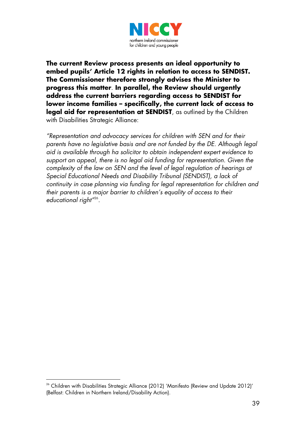

**The current Review process presents an ideal opportunity to embed pupils' Article 12 rights in relation to access to SENDIST. The Commissioner therefore strongly advises the Minister to progress this matter**. **In parallel, the Review should urgently address the current barriers regarding access to SENDIST for lower income families – specifically, the current lack of access to legal aid for representation at SENDIST**, as outlined by the Children with Disabilities Strategic Alliance:

*"Representation and advocacy services for children with SEN and for their parents have no legislative basis and are not funded by the DE. Although legal aid is available through ha solicitor to obtain independent expert evidence to support an appeal, there is no legal aid funding for representation. Given the complexity of the law on SEN and the level of legal regulation of hearings at Special Educational Needs and Disability Tribunal (SENDIST), a lack of continuity in case planning via funding for legal representation for children and their parents is a major barrier to children's equality of access to their educational right"*[26](#page-53-0) .

<span id="page-53-0"></span><sup>&</sup>lt;u>.</u>  $26$  Children with Disabilities Strategic Alliance (2012) 'Manifesto (Review and Update 2012)' (Belfast: Children in Northern Ireland/Disability Action).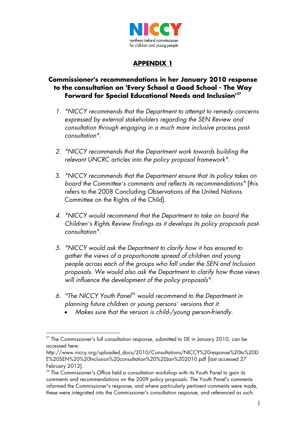

## **APPENDIX 1**

#### **Commissioner's recommendations in her January 2010 response to the consultation on 'Every School a Good School - The Way Forward for Special Educational Needs and Inclusion'[27](#page-54-0)**

- *1. "NICCY recommends that the Department to attempt to remedy concerns expressed by external stakeholders regarding the SEN Review and consultation through engaging in a much more inclusive process postconsultation".*
- *2. "NICCY recommends that the Department work towards building the relevant UNCRC articles into the policy proposal framework".*
- 3. *"NICCY recommends that the Department ensure that its policy takes on board the Committee's comments and reflects its recommendations"* [this refers to the 2008 Concluding Observations of the United Nations Committee on the Rights of the Child].
- *4. "NICCY would recommend that the Department to take on board the Children's Rights Review findings as it develops its policy proposals postconsultation".*
- *5. "NICCY would ask the Department to clarify how it has ensured to gather the views of a proportionate spread of children and young people across each of the groups who fall under the SEN and Inclusion proposals. We would also ask the Department to clarify how those views will influence the development of the policy proposals".*
- 6. "The NICCY Youth Panel<sup>[28](#page-54-1)</sup> would recommend to the Department in *planning future children or young persons' versions that it:*
	- *Makes sure that the version is child-/young person-friendly.*

<span id="page-54-0"></span><sup>&</sup>lt;u>.</u>  $27$  The Commissioner's full consultation response, submitted to DE in January 2010, can be accessed here:

http://www.niccy.org/uploaded\_docs/2010/Consultations/NICCY%20response%20to%20D E%20SEN%20%20Inclusion%20consultation%20%20Jan%202010.pdf [last accessed 27 February 2012].

<span id="page-54-1"></span><sup>&</sup>lt;sup>28</sup> The Commissioner's Office held a consultation workshop with its Youth Panel to gain its comments and recommendations on the 2009 policy proposals. The Youth Panel's comments informed the Commissioner's response, and where particularly pertinent comments were made, these were integrated into the Commissioner's consultation response, and referenced as such.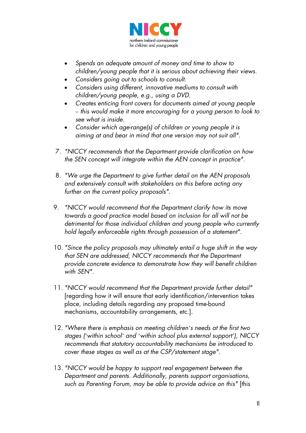

- *Spends an adequate amount of money and time to show to children/young people that it is serious about achieving their views.*
- *Considers going out to schools to consult.*
- *Considers using different, innovative mediums to consult with children/young people, e.g., using a DVD.*
- *Creates enticing front covers for documents aimed at young people – this would make it more encouraging for a young person to look to see what is inside.*
- *Consider which age-range(s) of children or young people it is aiming at and bear in mind that one version may not suit all".*
- 7. *"NICCY recommends that the Department provide clarification on how the SEN concept will integrate within the AEN concept in practice".*
- 8. *"We urge the Department to give further detail on the AEN proposals and extensively consult with stakeholders on this before acting any further on the current policy proposals".*
- 9. *"NICCY would recommend that the Department clarify how its move towards a good practice model based on inclusion for all will not be detrimental for those individual children and young people who currently hold legally enforceable rights through possession of a statement".*
- 10. *"Since the policy proposals may ultimately entail a huge shift in the way that SEN are addressed, NICCY recommends that the Department provide concrete evidence to demonstrate how they will benefit children with SEN".*
- 11*. "NICCY would recommend that the Department provide further detail"* [regarding how it will ensure that early identification/intervention takes place, including details regarding any proposed time-bound mechanisms, accountability arrangements, etc.].
- 12. *"Where there is emphasis on meeting children's needs at the first two stages ('within school' and 'within school plus external support'), NICCY recommends that statutory accountability mechanisms be introduced to cover these stages as well as at the CSP/statement stage".*
- 13. *"NICCY would be happy to support real engagement between the Department and parents. Additionally, parents support organisations, such as Parenting Forum, may be able to provide advice on this"* [this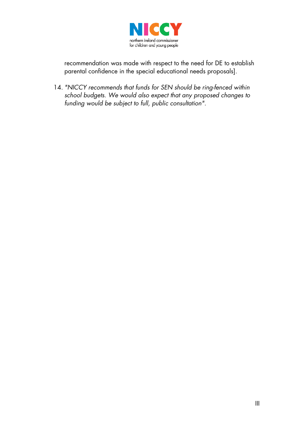

recommendation was made with respect to the need for DE to establish parental confidence in the special educational needs proposals].

14. *"NICCY recommends that funds for SEN should be ring-fenced within school budgets. We would also expect that any proposed changes to funding would be subject to full, public consultation".*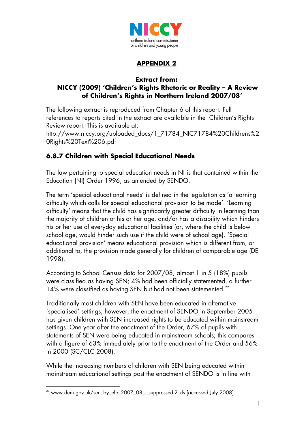

# **APPENDIX 2**

#### **Extract from: NICCY (2009) 'Children's Rights Rhetoric or Reality – A Review of Children's Rights in Northern Ireland 2007/08'**

The following extract is reproduced from Chapter 6 of this report. Full references to reports cited in the extract are available in the Children's Rights Review report. This is available at: http://www.niccy.org/uploaded\_docs/1\_71784\_NIC71784%20Childrens%2

0Rights%20Text%206.pdf

# **6.8.7 Children with Special Educational Needs**

The law pertaining to special education needs in NI is that contained within the Education (NI) Order 1996, as amended by SENDO.

The term 'special educational needs' is defined in the legislation as 'a learning difficulty which calls for special educational provision to be made'. 'Learning difficulty' means that the child has significantly greater difficulty in learning than the majority of children of his or her age, and/or has a disability which hinders his or her use of everyday educational facilities (or, where the child is below school age, would hinder such use if the child were of school age). 'Special educational provision' means educational provision which is different from, or additional to, the provision made generally for children of comparable age (DE 1998).

According to School Census data for 2007/08, almost 1 in 5 (18%) pupils were classified as having SEN; 4% had been officially statemented, a further 14% were classified as having SEN but had not been statemented.<sup>[29](#page-57-0)</sup>

Traditionally most children with SEN have been educated in alternative 'specialised' settings; however, the enactment of SENDO in September 2005 has given children with SEN increased rights to be educated within mainstream settings. One year after the enactment of the Order, 67% of pupils with statements of SEN were being educated in mainstream schools; this compares with a figure of 63% immediately prior to the enactment of the Order and 56% in 2000 (SC/CLC 2008).

While the increasing numbers of children with SEN being educated within mainstream educational settings post the enactment of SENDO is in line with

<span id="page-57-0"></span><sup>&</sup>lt;u>.</u>  $29$  www.deni.gov.uk/sen\_by\_elb\_2007\_08 -\_suppressed-2.xls [accessed July 2008].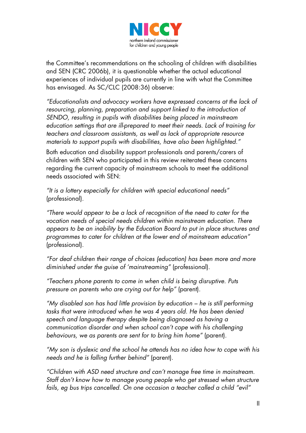

the Committee's recommendations on the schooling of children with disabilities and SEN (CRC 2006b), it is questionable whether the actual educational experiences of individual pupils are currently in line with what the Committee has envisaged. As SC/CLC (2008:36) observe:

*"Educationalists and advocacy workers have expressed concerns at the lack of resourcing, planning, preparation and support linked to the introduction of SENDO, resulting in pupils with disabilities being placed in mainstream education settings that are ill-prepared to meet their needs. Lack of training for teachers and classroom assistants, as well as lack of appropriate resource materials to support pupils with disabilities, have also been highlighted."*

Both education and disability support professionals and parents/carers of children with SEN who participated in this review reiterated these concerns regarding the current capacity of mainstream schools to meet the additional needs associated with SEN:

*"It is a lottery especially for children with special educational needs"* (professional).

*"There would appear to be a lack of recognition of the need to cater for the vocation needs of special needs children within mainstream education. There appears to be an inability by the Education Board to put in place structures and programmes to cater for children at the lower end of mainstream education"*  (professional).

*"For deaf children their range of choices (education) has been more and more diminished under the guise of 'mainstreaming"* (professional).

*"Teachers phone parents to come in when child is being disruptive. Puts pressure on parents who are crying out for help"* (parent).

*"My disabled son has had little provision by education – he is still performing tasks that were introduced when he was 4 years old. He has been denied speech and language therapy despite being diagnosed as having a communication disorder and when school can't cope with his challenging behaviours, we as parents are sent for to bring him home"* (parent).

*"My son is dyslexic and the school he attends has no idea how to cope with his needs and he is falling further behind"* (parent).

*"Children with ASD need structure and can't manage free time in mainstream. Staff don't know how to manage young people who get stressed when structure fails, eg bus trips cancelled. On one occasion a teacher called a child "evil"*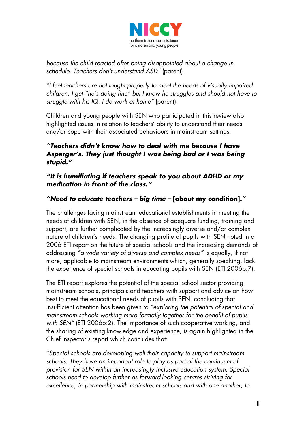

*because the child reacted after being disappointed about a change in schedule. Teachers don't understand ASD"* (parent).

*"I feel teachers are not taught properly to meet the needs of visually impaired children. I get "he's doing fine" but I know he struggles and should not have to struggle with his IQ. I do work at home"* (parent).

Children and young people with SEN who participated in this review also highlighted issues in relation to teachers' ability to understand their needs and/or cope with their associated behaviours in mainstream settings:

## *"Teachers didn't know how to deal with me because I have Asperger's. They just thought I was being bad or I was being stupid."*

#### *"It is humiliating if teachers speak to you about ADHD or my medication in front of the class."*

# *"Need to educate teachers – big time –* **[about my condition]."**

The challenges facing mainstream educational establishments in meeting the needs of children with SEN, in the absence of adequate funding, training and support, are further complicated by the increasingly diverse and/or complex nature of children's needs. The changing profile of pupils with SEN noted in a 2006 ETI report on the future of special schools and the increasing demands of addressing *"a wide variety of diverse and complex needs"* is equally, if not more, applicable to mainstream environments which, generally speaking, lack the experience of special schools in educating pupils with SEN (ETI 2006b:7).

The ETI report explores the potential of the special school sector providing mainstream schools, principals and teachers with support and advice on how best to meet the educational needs of pupils with SEN, concluding that insufficient attention has been given to *"exploring the potential of special and mainstream schools working more formally together for the benefit of pupils with SEN"* (ETI 2006b:2). The importance of such cooperative working, and the sharing of existing knowledge and experience, is again highlighted in the Chief Inspector's report which concludes that:

*"Special schools are developing well their capacity to support mainstream schools. They have an important role to play as part of the continuum of provision for SEN within an increasingly inclusive education system. Special schools need to develop further as forward-looking centres striving for excellence, in partnership with mainstream schools and with one another, to*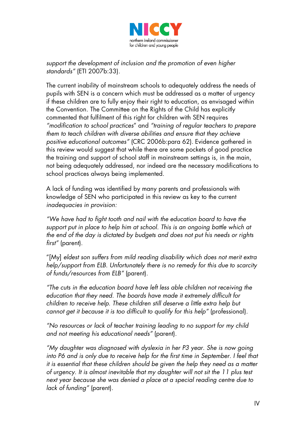

*support the development of inclusion and the promotion of even higher standards"* (ETI 2007b:33).

The current inability of mainstream schools to adequately address the needs of pupils with SEN is a concern which must be addressed as a matter of urgency if these children are to fully enjoy their right to education, as envisaged within the Convention. The Committee on the Rights of the Child has explicitly commented that fulfilment of this right for children with SEN requires *"modification to school practices*" and *"training of regular teachers to prepare them to teach children with diverse abilities and ensure that they achieve positive educational outcomes"* (CRC 2006b:para 62). Evidence gathered in this review would suggest that while there are some pockets of good practice the training and support of school staff in mainstream settings is, in the main, not being adequately addressed, nor indeed are the necessary modifications to school practices always being implemented.

A lack of funding was identified by many parents and professionals with knowledge of SEN who participated in this review as key to the current *inadequacies in provision:*

*"We have had to fight tooth and nail with the education board to have the support put in place to help him at school. This is an ongoing battle which at the end of the day is dictated by budgets and does not put his needs or rights first"* (parent).

"[My] *eldest son suffers from mild reading disability which does not merit extra help/support from ELB. Unfortunately there is no remedy for this due to scarcity of funds/resources from ELB"* (parent).

*"The cuts in the education board have left less able children not receiving the education that they need. The boards have made it extremely difficult for children to receive help. These children still deserve a little extra help but cannot get it because it is too difficult to qualify for this help"* (professional).

*"No resources or lack of teacher training leading to no support for my child and not meeting his educational needs"* (parent).

*"My daughter was diagnosed with dyslexia in her P3 year. She is now going*  into P6 and is only due to receive help for the first time in September. I feel that *it is essential that these children should be given the help they need as a matter of urgency. It is almost inevitable that my daughter will not sit the 11 plus test next year because she was denied a place at a special reading centre due to lack of funding"* (parent).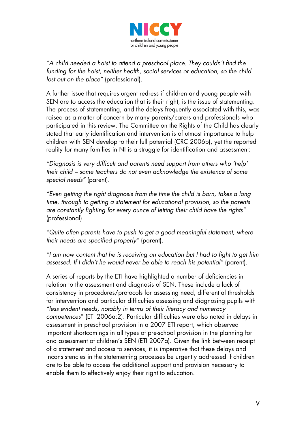

*"A child needed a hoist to attend a preschool place. They couldn't find the funding for the hoist, neither health, social services or education, so the child lost out on the place"* (professional).

A further issue that requires urgent redress if children and young people with SEN are to access the education that is their right, is the issue of statementing. The process of statementing, and the delays frequently associated with this, was raised as a matter of concern by many parents/carers and professionals who participated in this review. The Committee on the Rights of the Child has clearly stated that early identification and intervention is of utmost importance to help children with SEN develop to their full potential (CRC 2006b), yet the reported reality for many families in NI is a struggle for identification and assessment:

*"Diagnosis is very difficult and parents need support from others who 'help' their child – some teachers do not even acknowledge the existence of some special needs"* (parent).

*"Even getting the right diagnosis from the time the child is born, takes a long time, through to getting a statement for educational provision, so the parents are constantly fighting for every ounce of letting their child have the rights"* (professional).

*"Quite often parents have to push to get a good meaningful statement, where their needs are specified properly"* (parent).

*"I am now content that he is receiving an education but I had to fight to get him assessed. If I didn't he would never be able to reach his potential"* (parent).

A series of reports by the ETI have highlighted a number of deficiencies in relation to the assessment and diagnosis of SEN. These include a lack of consistency in procedures/protocols for assessing need, differential thresholds for intervention and particular difficulties assessing and diagnosing pupils with *"less evident needs, notably in terms of their literacy and numeracy competences*" (ETI 2006a:2). Particular difficulties were also noted in delays in assessment in preschool provision in a 2007 ETI report, which observed important shortcomings in all types of pre-school provision in the planning for and assessment of children's SEN (ETI 2007a). Given the link between receipt of a statement and access to services, it is imperative that these delays and inconsistencies in the statementing processes be urgently addressed if children are to be able to access the additional support and provision necessary to enable them to effectively enjoy their right to education.